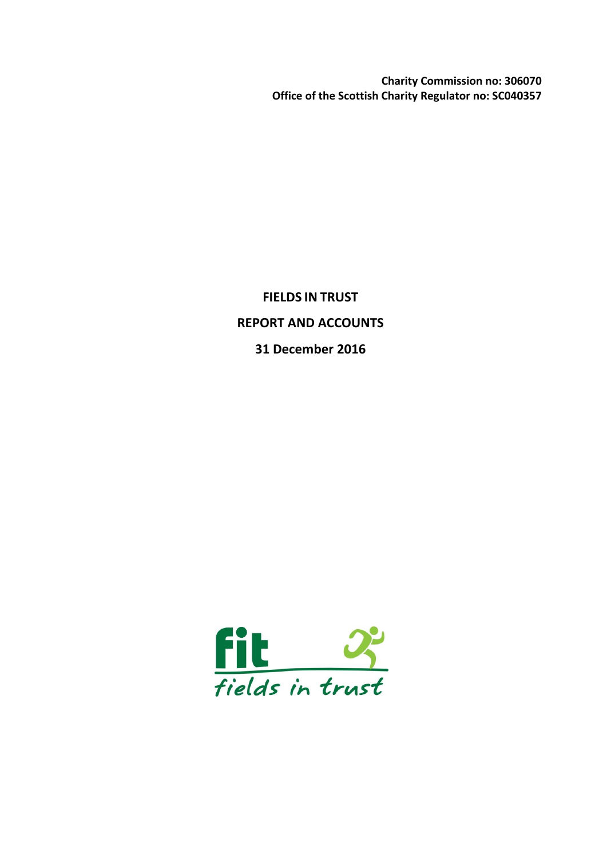**Charity Commission no: 306070 Office of the Scottish Charity Regulator no: SC040357**

**FIELDS IN TRUST REPORT AND ACCOUNTS 31 December 2016**

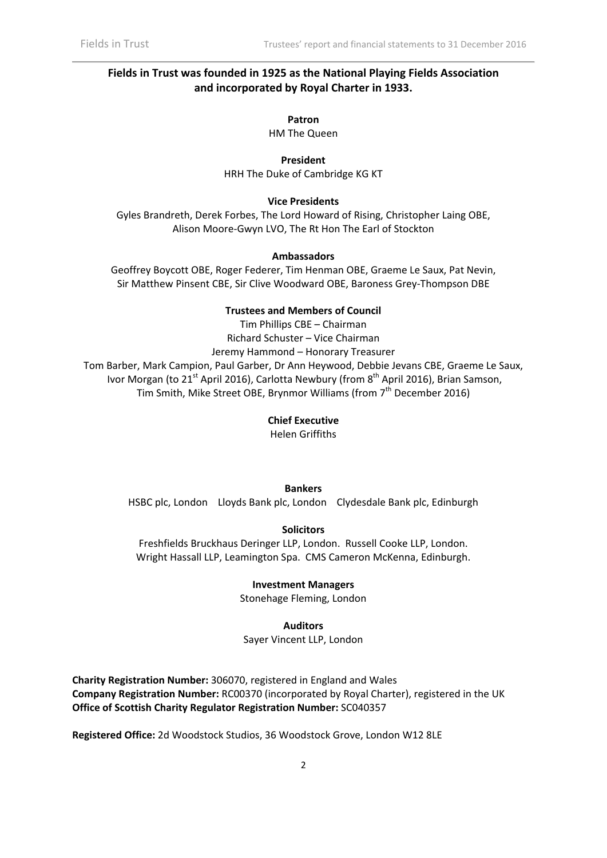# **Fields in Trust was founded in 1925 as the National Playing Fields Association and incorporated by Royal Charter in 1933.**

#### **Patron**

#### HM The Queen

### **President**

HRH The Duke of Cambridge KG KT

### **Vice Presidents**

Gyles Brandreth, Derek Forbes, The Lord Howard of Rising, Christopher Laing OBE, Alison Moore‐Gwyn LVO, The Rt Hon The Earl of Stockton

## **Ambassadors**

Geoffrey Boycott OBE, Roger Federer, Tim Henman OBE, Graeme Le Saux, Pat Nevin, Sir Matthew Pinsent CBE, Sir Clive Woodward OBE, Baroness Grey‐Thompson DBE

### **Trustees and Members of Council**

Tim Phillips CBE – Chairman Richard Schuster – Vice Chairman Jeremy Hammond – Honorary Treasurer Tom Barber, Mark Campion, Paul Garber, Dr Ann Heywood, Debbie Jevans CBE, Graeme Le Saux, Ivor Morgan (to 21<sup>st</sup> April 2016), Carlotta Newbury (from 8<sup>th</sup> April 2016), Brian Samson, Tim Smith, Mike Street OBE, Brynmor Williams (from 7<sup>th</sup> December 2016)

#### **Chief Executive**

Helen Griffiths

#### **Bankers**

HSBC plc, London Lloyds Bank plc, London Clydesdale Bank plc, Edinburgh

### **Solicitors**

Freshfields Bruckhaus Deringer LLP, London. Russell Cooke LLP, London. Wright Hassall LLP, Leamington Spa. CMS Cameron McKenna, Edinburgh.

## **Investment Managers**

Stonehage Fleming, London

### **Auditors**

Sayer Vincent LLP, London

**Charity Registration Number:** 306070, registered in England and Wales **Company Registration Number:** RC00370 (incorporated by Royal Charter), registered in the UK **Office of Scottish Charity Regulator Registration Number:** SC040357

**Registered Office:** 2d Woodstock Studios, 36 Woodstock Grove, London W12 8LE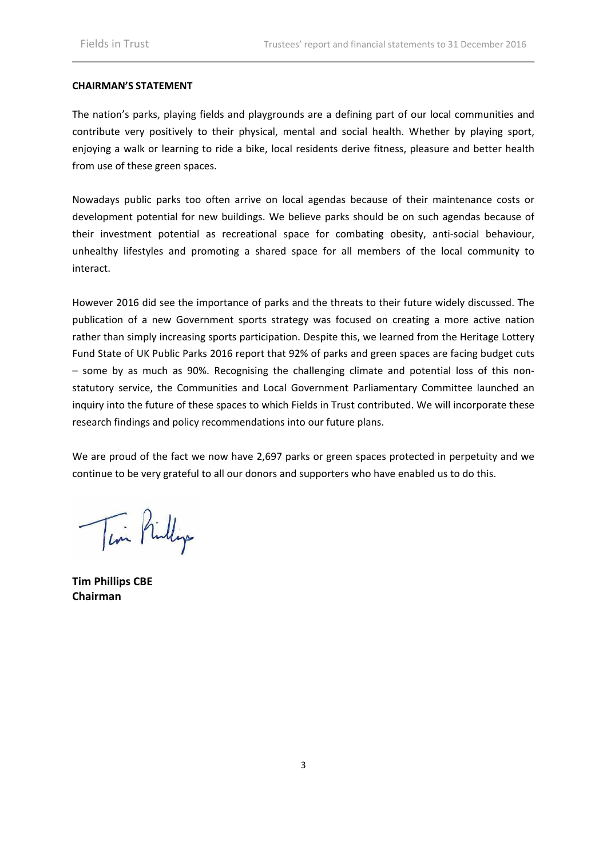### **CHAIRMAN'S STATEMENT**

The nation's parks, playing fields and playgrounds are a defining part of our local communities and contribute very positively to their physical, mental and social health. Whether by playing sport, enjoying a walk or learning to ride a bike, local residents derive fitness, pleasure and better health from use of these green spaces.

Nowadays public parks too often arrive on local agendas because of their maintenance costs or development potential for new buildings. We believe parks should be on such agendas because of their investment potential as recreational space for combating obesity, anti‐social behaviour, unhealthy lifestyles and promoting a shared space for all members of the local community to interact.

However 2016 did see the importance of parks and the threats to their future widely discussed. The publication of a new Government sports strategy was focused on creating a more active nation rather than simply increasing sports participation. Despite this, we learned from the Heritage Lottery Fund State of UK Public Parks 2016 report that 92% of parks and green spaces are facing budget cuts – some by as much as 90%. Recognising the challenging climate and potential loss of this non‐ statutory service, the Communities and Local Government Parliamentary Committee launched an inquiry into the future of these spaces to which Fields in Trust contributed. We will incorporate these research findings and policy recommendations into our future plans.

We are proud of the fact we now have 2,697 parks or green spaces protected in perpetuity and we continue to be very grateful to all our donors and supporters who have enabled us to do this.

Tim Killing

**Tim Phillips CBE Chairman**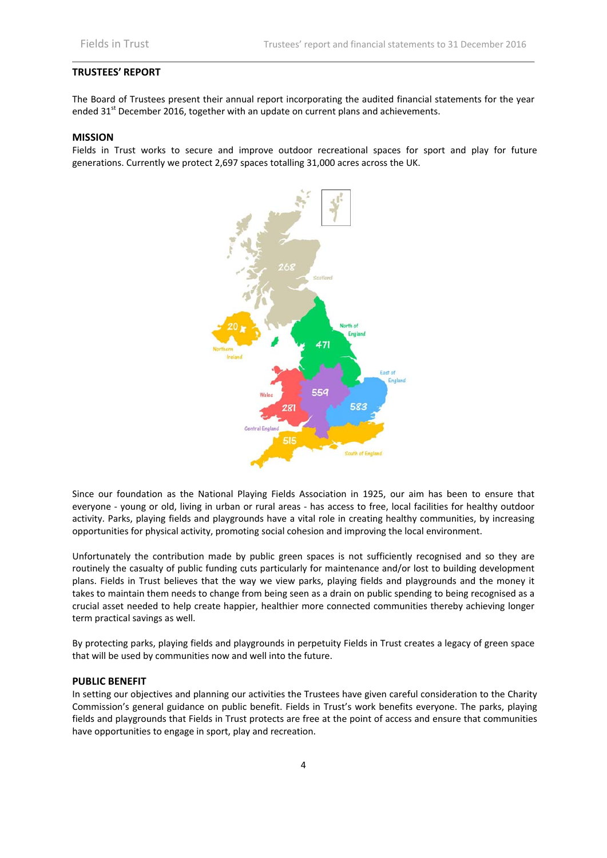#### **TRUSTEES' REPORT**

The Board of Trustees present their annual report incorporating the audited financial statements for the year ended 31<sup>st</sup> December 2016, together with an update on current plans and achievements.

#### **MISSION**

Fields in Trust works to secure and improve outdoor recreational spaces for sport and play for future generations. Currently we protect 2,697 spaces totalling 31,000 acres across the UK.



Since our foundation as the National Playing Fields Association in 1925, our aim has been to ensure that everyone - young or old, living in urban or rural areas - has access to free, local facilities for healthy outdoor activity. Parks, playing fields and playgrounds have a vital role in creating healthy communities, by increasing opportunities for physical activity, promoting social cohesion and improving the local environment.

Unfortunately the contribution made by public green spaces is not sufficiently recognised and so they are routinely the casualty of public funding cuts particularly for maintenance and/or lost to building development plans. Fields in Trust believes that the way we view parks, playing fields and playgrounds and the money it takes to maintain them needs to change from being seen as a drain on public spending to being recognised as a crucial asset needed to help create happier, healthier more connected communities thereby achieving longer term practical savings as well.

By protecting parks, playing fields and playgrounds in perpetuity Fields in Trust creates a legacy of green space that will be used by communities now and well into the future.

#### **PUBLIC BENEFIT**

In setting our objectives and planning our activities the Trustees have given careful consideration to the Charity Commission's general guidance on public benefit. Fields in Trust's work benefits everyone. The parks, playing fields and playgrounds that Fields in Trust protects are free at the point of access and ensure that communities have opportunities to engage in sport, play and recreation.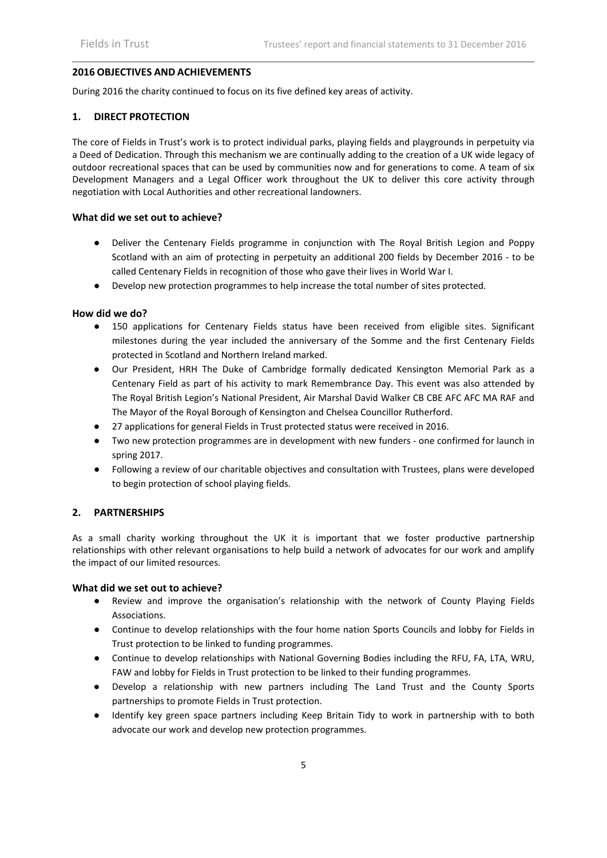## **2016 OBJECTIVES AND ACHIEVEMENTS**

During 2016 the charity continued to focus on its five defined key areas of activity.

## **1. DIRECT PROTECTION**

The core of Fields in Trust's work is to protect individual parks, playing fields and playgrounds in perpetuity via a Deed of Dedication. Through this mechanism we are continually adding to the creation of a UK wide legacy of outdoor recreational spaces that can be used by communities now and for generations to come. A team of six Development Managers and a Legal Officer work throughout the UK to deliver this core activity through negotiation with Local Authorities and other recreational landowners.

## **What did we set out to achieve?**

- Deliver the Centenary Fields programme in conjunction with The Royal British Legion and Poppy Scotland with an aim of protecting in perpetuity an additional 200 fields by December 2016 ‐ to be called Centenary Fields in recognition of those who gave their lives in World War I.
- Develop new protection programmes to help increase the total number of sites protected.

## **How did we do?**

- 150 applications for Centenary Fields status have been received from eligible sites. Significant milestones during the year included the anniversary of the Somme and the first Centenary Fields protected in Scotland and Northern Ireland marked.
- Our President, HRH The Duke of Cambridge formally dedicated Kensington Memorial Park as a Centenary Field as part of his activity to mark Remembrance Day. This event was also attended by The Royal British Legion's National President, Air Marshal David Walker CB CBE AFC AFC MA RAF and The Mayor of the Royal Borough of Kensington and Chelsea Councillor Rutherford.
- 27 applications for general Fields in Trust protected status were received in 2016.
- Two new protection programmes are in development with new funders one confirmed for launch in spring 2017.
- Following a review of our charitable objectives and consultation with Trustees, plans were developed to begin protection of school playing fields.

## **2. PARTNERSHIPS**

As a small charity working throughout the UK it is important that we foster productive partnership relationships with other relevant organisations to help build a network of advocates for our work and amplify the impact of our limited resources.

## **What did we set out to achieve?**

- Review and improve the organisation's relationship with the network of County Playing Fields Associations.
- Continue to develop relationships with the four home nation Sports Councils and lobby for Fields in Trust protection to be linked to funding programmes.
- Continue to develop relationships with National Governing Bodies including the RFU, FA, LTA, WRU, FAW and lobby for Fields in Trust protection to be linked to their funding programmes.
- Develop a relationship with new partners including The Land Trust and the County Sports partnerships to promote Fields in Trust protection.
- Identify key green space partners including Keep Britain Tidy to work in partnership with to both advocate our work and develop new protection programmes.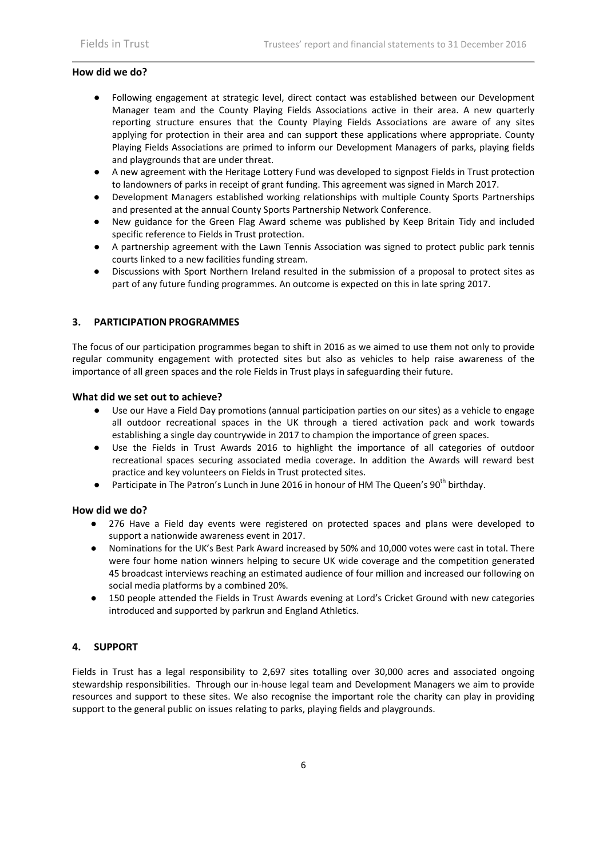### **How did we do?**

- Following engagement at strategic level, direct contact was established between our Development Manager team and the County Playing Fields Associations active in their area. A new quarterly reporting structure ensures that the County Playing Fields Associations are aware of any sites applying for protection in their area and can support these applications where appropriate. County Playing Fields Associations are primed to inform our Development Managers of parks, playing fields and playgrounds that are under threat.
- A new agreement with the Heritage Lottery Fund was developed to signpost Fields in Trust protection to landowners of parks in receipt of grant funding. This agreement was signed in March 2017.
- Development Managers established working relationships with multiple County Sports Partnerships and presented at the annual County Sports Partnership Network Conference.
- New guidance for the Green Flag Award scheme was published by Keep Britain Tidy and included specific reference to Fields in Trust protection.
- A partnership agreement with the Lawn Tennis Association was signed to protect public park tennis courts linked to a new facilities funding stream.
- Discussions with Sport Northern Ireland resulted in the submission of a proposal to protect sites as part of any future funding programmes. An outcome is expected on this in late spring 2017.

### **3. PARTICIPATION PROGRAMMES**

The focus of our participation programmes began to shift in 2016 as we aimed to use them not only to provide regular community engagement with protected sites but also as vehicles to help raise awareness of the importance of all green spaces and the role Fields in Trust plays in safeguarding their future. 

#### **What did we set out to achieve?**

- Use our Have a Field Day promotions (annual participation parties on our sites) as a vehicle to engage all outdoor recreational spaces in the UK through a tiered activation pack and work towards establishing a single day countrywide in 2017 to champion the importance of green spaces.
- Use the Fields in Trust Awards 2016 to highlight the importance of all categories of outdoor recreational spaces securing associated media coverage. In addition the Awards will reward best practice and key volunteers on Fields in Trust protected sites.
- Participate in The Patron's Lunch in June 2016 in honour of HM The Queen's  $90^{th}$  birthday.

#### **How did we do?**

- 276 Have a Field day events were registered on protected spaces and plans were developed to support a nationwide awareness event in 2017.
- Nominations for the UK's Best Park Award increased by 50% and 10,000 votes were cast in total. There were four home nation winners helping to secure UK wide coverage and the competition generated 45 broadcast interviews reaching an estimated audience of four million and increased our following on social media platforms by a combined 20%.
- 150 people attended the Fields in Trust Awards evening at Lord's Cricket Ground with new categories introduced and supported by parkrun and England Athletics.

## **4. SUPPORT**

Fields in Trust has a legal responsibility to 2,697 sites totalling over 30,000 acres and associated ongoing stewardship responsibilities. Through our in‐house legal team and Development Managers we aim to provide resources and support to these sites. We also recognise the important role the charity can play in providing support to the general public on issues relating to parks, playing fields and playgrounds.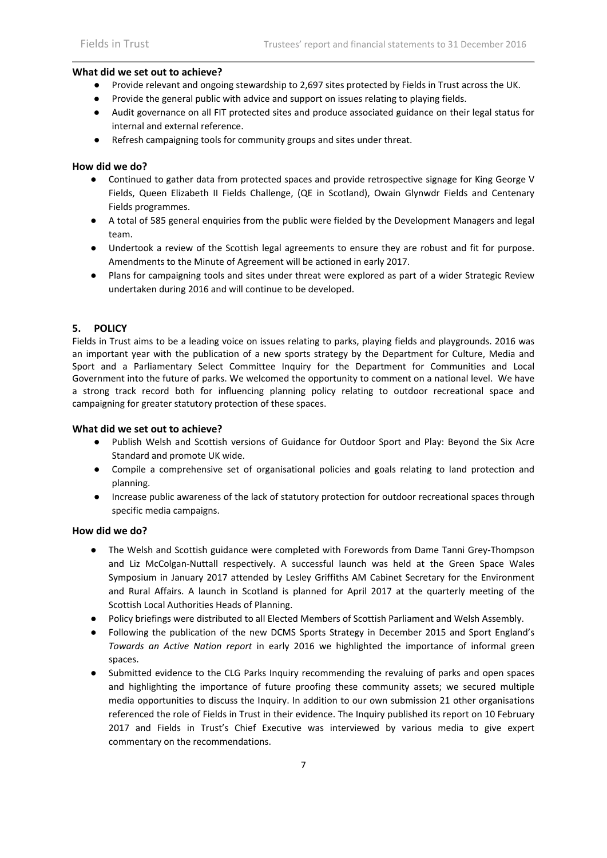### **What did we set out to achieve?**

- Provide relevant and ongoing stewardship to 2,697 sites protected by Fields in Trust across the UK.
- Provide the general public with advice and support on issues relating to playing fields.
- Audit governance on all FIT protected sites and produce associated guidance on their legal status for internal and external reference.
- Refresh campaigning tools for community groups and sites under threat.

## **How did we do?**

- Continued to gather data from protected spaces and provide retrospective signage for King George V Fields, Queen Elizabeth II Fields Challenge, (QE in Scotland), Owain Glynwdr Fields and Centenary Fields programmes.
- A total of 585 general enquiries from the public were fielded by the Development Managers and legal team.
- Undertook a review of the Scottish legal agreements to ensure they are robust and fit for purpose. Amendments to the Minute of Agreement will be actioned in early 2017.
- Plans for campaigning tools and sites under threat were explored as part of a wider Strategic Review undertaken during 2016 and will continue to be developed.

## **5. POLICY**

Fields in Trust aims to be a leading voice on issues relating to parks, playing fields and playgrounds. 2016 was an important year with the publication of a new sports strategy by the Department for Culture, Media and Sport and a Parliamentary Select Committee Inquiry for the Department for Communities and Local Government into the future of parks. We welcomed the opportunity to comment on a national level. We have a strong track record both for influencing planning policy relating to outdoor recreational space and campaigning for greater statutory protection of these spaces.

## **What did we set out to achieve?**

- Publish Welsh and Scottish versions of Guidance for Outdoor Sport and Play: Beyond the Six Acre Standard and promote UK wide.
- Compile a comprehensive set of organisational policies and goals relating to land protection and planning.
- Increase public awareness of the lack of statutory protection for outdoor recreational spaces through specific media campaigns.

## **How did we do?**

- The Welsh and Scottish guidance were completed with Forewords from Dame Tanni Grey-Thompson and Liz McColgan‐Nuttall respectively. A successful launch was held at the Green Space Wales Symposium in January 2017 attended by Lesley Griffiths AM Cabinet Secretary for the Environment and Rural Affairs. A launch in Scotland is planned for April 2017 at the quarterly meeting of the Scottish Local Authorities Heads of Planning.
- Policy briefings were distributed to all Elected Members of Scottish Parliament and Welsh Assembly.
- Following the publication of the new DCMS Sports Strategy in December 2015 and Sport England's *Towards an Active Nation report* in early 2016 we highlighted the importance of informal green spaces.
- Submitted evidence to the CLG Parks Inquiry recommending the revaluing of parks and open spaces and highlighting the importance of future proofing these community assets; we secured multiple media opportunities to discuss the Inquiry. In addition to our own submission 21 other organisations referenced the role of Fields in Trust in their evidence. The Inquiry published its report on 10 February 2017 and Fields in Trust's Chief Executive was interviewed by various media to give expert commentary on the recommendations.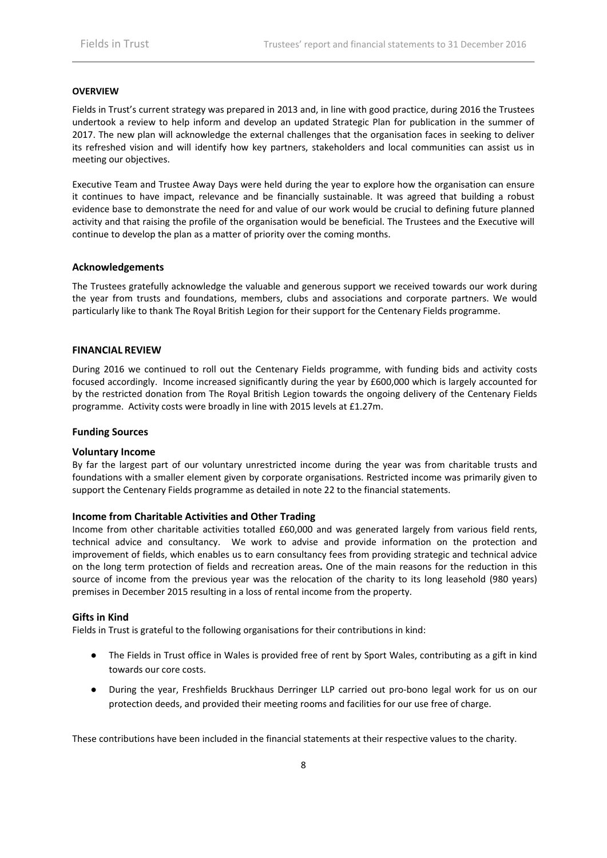#### **OVERVIEW**

Fields in Trust's current strategy was prepared in 2013 and, in line with good practice, during 2016 the Trustees undertook a review to help inform and develop an updated Strategic Plan for publication in the summer of 2017. The new plan will acknowledge the external challenges that the organisation faces in seeking to deliver its refreshed vision and will identify how key partners, stakeholders and local communities can assist us in meeting our objectives.

Executive Team and Trustee Away Days were held during the year to explore how the organisation can ensure it continues to have impact, relevance and be financially sustainable. It was agreed that building a robust evidence base to demonstrate the need for and value of our work would be crucial to defining future planned activity and that raising the profile of the organisation would be beneficial. The Trustees and the Executive will continue to develop the plan as a matter of priority over the coming months.

#### **Acknowledgements**

The Trustees gratefully acknowledge the valuable and generous support we received towards our work during the year from trusts and foundations, members, clubs and associations and corporate partners. We would particularly like to thank The Royal British Legion for their support for the Centenary Fields programme.

### **FINANCIAL REVIEW**

During 2016 we continued to roll out the Centenary Fields programme, with funding bids and activity costs focused accordingly. Income increased significantly during the year by £600,000 which is largely accounted for by the restricted donation from The Royal British Legion towards the ongoing delivery of the Centenary Fields programme. Activity costs were broadly in line with 2015 levels at £1.27m.

### **Funding Sources**

#### **Voluntary Income**

By far the largest part of our voluntary unrestricted income during the year was from charitable trusts and foundations with a smaller element given by corporate organisations. Restricted income was primarily given to support the Centenary Fields programme as detailed in note 22 to the financial statements.

### **Income from Charitable Activities and Other Trading**

Income from other charitable activities totalled £60,000 and was generated largely from various field rents, technical advice and consultancy. We work to advise and provide information on the protection and improvement of fields, which enables us to earn consultancy fees from providing strategic and technical advice on the long term protection of fields and recreation areas**.** One of the main reasons for the reduction in this source of income from the previous year was the relocation of the charity to its long leasehold (980 years) premises in December 2015 resulting in a loss of rental income from the property.

#### **Gifts in Kind**

Fields in Trust is grateful to the following organisations for their contributions in kind:

- The Fields in Trust office in Wales is provided free of rent by Sport Wales, contributing as a gift in kind towards our core costs.
- During the year, Freshfields Bruckhaus Derringer LLP carried out pro-bono legal work for us on our protection deeds, and provided their meeting rooms and facilities for our use free of charge.

These contributions have been included in the financial statements at their respective values to the charity.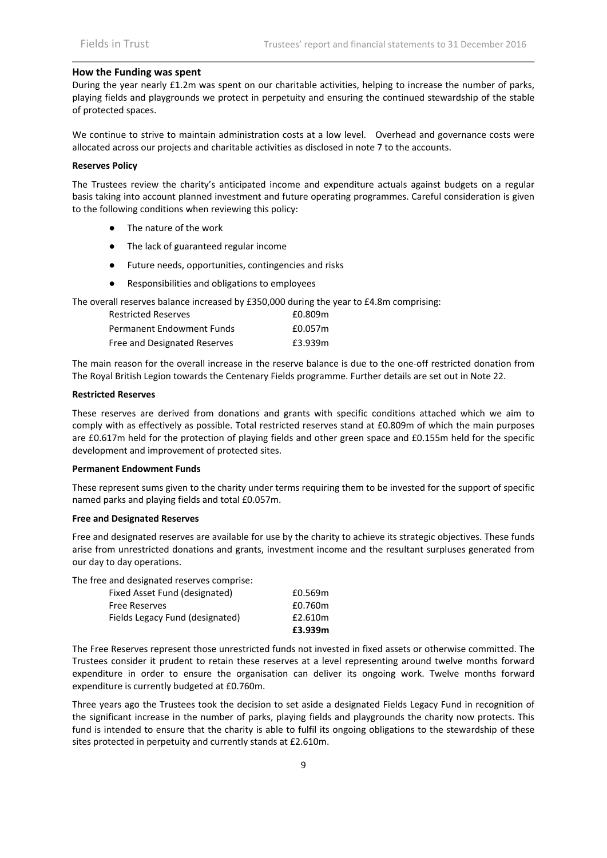### **How the Funding was spent**

During the year nearly £1.2m was spent on our charitable activities, helping to increase the number of parks, playing fields and playgrounds we protect in perpetuity and ensuring the continued stewardship of the stable of protected spaces.

We continue to strive to maintain administration costs at a low level. Overhead and governance costs were allocated across our projects and charitable activities as disclosed in note 7 to the accounts.

#### **Reserves Policy**

The Trustees review the charity's anticipated income and expenditure actuals against budgets on a regular basis taking into account planned investment and future operating programmes. Careful consideration is given to the following conditions when reviewing this policy:

- The nature of the work
- The lack of guaranteed regular income
- Future needs, opportunities, contingencies and risks
- Responsibilities and obligations to employees

The overall reserves balance increased by £350,000 during the year to £4.8m comprising:

| <b>Restricted Reserves</b>   |  | £0.809m |
|------------------------------|--|---------|
| Permanent Endowment Funds    |  | £0.057m |
| Free and Designated Reserves |  | £3.939m |

The main reason for the overall increase in the reserve balance is due to the one‐off restricted donation from The Royal British Legion towards the Centenary Fields programme. Further details are set out in Note 22.

### **Restricted Reserves**

These reserves are derived from donations and grants with specific conditions attached which we aim to comply with as effectively as possible. Total restricted reserves stand at £0.809m of which the main purposes are £0.617m held for the protection of playing fields and other green space and £0.155m held for the specific development and improvement of protected sites.

#### **Permanent Endowment Funds**

These represent sums given to the charity under terms requiring them to be invested for the support of specific named parks and playing fields and total £0.057m.

#### **Free and Designated Reserves**

Free and designated reserves are available for use by the charity to achieve its strategic objectives. These funds arise from unrestricted donations and grants, investment income and the resultant surpluses generated from our day to day operations.

The free and designated reserves comprise:

| Fixed Asset Fund (designated)   | £0.569m |
|---------------------------------|---------|
| <b>Free Reserves</b>            | £0.760m |
| Fields Legacy Fund (designated) | £2.610m |
|                                 | £3.939m |

The Free Reserves represent those unrestricted funds not invested in fixed assets or otherwise committed. The Trustees consider it prudent to retain these reserves at a level representing around twelve months forward expenditure in order to ensure the organisation can deliver its ongoing work. Twelve months forward expenditure is currently budgeted at £0.760m.

Three years ago the Trustees took the decision to set aside a designated Fields Legacy Fund in recognition of the significant increase in the number of parks, playing fields and playgrounds the charity now protects. This fund is intended to ensure that the charity is able to fulfil its ongoing obligations to the stewardship of these sites protected in perpetuity and currently stands at £2.610m.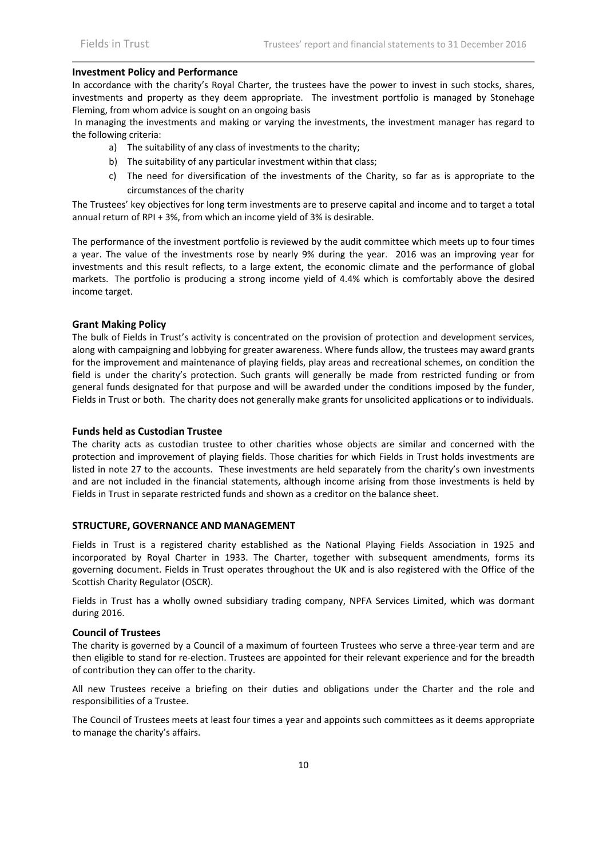### **Investment Policy and Performance**

In accordance with the charity's Royal Charter, the trustees have the power to invest in such stocks, shares, investments and property as they deem appropriate. The investment portfolio is managed by Stonehage Fleming, from whom advice is sought on an ongoing basis

In managing the investments and making or varying the investments, the investment manager has regard to the following criteria:

- a) The suitability of any class of investments to the charity;
- b) The suitability of any particular investment within that class;
- c) The need for diversification of the investments of the Charity, so far as is appropriate to the circumstances of the charity

The Trustees' key objectives for long term investments are to preserve capital and income and to target a total annual return of RPI + 3%, from which an income yield of 3% is desirable.

The performance of the investment portfolio is reviewed by the audit committee which meets up to four times a year. The value of the investments rose by nearly 9% during the year. 2016 was an improving year for investments and this result reflects, to a large extent, the economic climate and the performance of global markets. The portfolio is producing a strong income yield of 4.4% which is comfortably above the desired income target.

#### **Grant Making Policy**

The bulk of Fields in Trust's activity is concentrated on the provision of protection and development services, along with campaigning and lobbying for greater awareness. Where funds allow, the trustees may award grants for the improvement and maintenance of playing fields, play areas and recreational schemes, on condition the field is under the charity's protection. Such grants will generally be made from restricted funding or from general funds designated for that purpose and will be awarded under the conditions imposed by the funder, Fields in Trust or both. The charity does not generally make grants for unsolicited applications or to individuals.

#### **Funds held as Custodian Trustee**

The charity acts as custodian trustee to other charities whose objects are similar and concerned with the protection and improvement of playing fields. Those charities for which Fields in Trust holds investments are listed in note 27 to the accounts. These investments are held separately from the charity's own investments and are not included in the financial statements, although income arising from those investments is held by Fields in Trust in separate restricted funds and shown as a creditor on the balance sheet.

#### **STRUCTURE, GOVERNANCE AND MANAGEMENT**

Fields in Trust is a registered charity established as the National Playing Fields Association in 1925 and incorporated by Royal Charter in 1933. The Charter, together with subsequent amendments, forms its governing document. Fields in Trust operates throughout the UK and is also registered with the Office of the Scottish Charity Regulator (OSCR).

Fields in Trust has a wholly owned subsidiary trading company, NPFA Services Limited, which was dormant during 2016.

#### **Council of Trustees**

The charity is governed by a Council of a maximum of fourteen Trustees who serve a three-year term and are then eligible to stand for re‐election. Trustees are appointed for their relevant experience and for the breadth of contribution they can offer to the charity.

All new Trustees receive a briefing on their duties and obligations under the Charter and the role and responsibilities of a Trustee.

The Council of Trustees meets at least four times a year and appoints such committees as it deems appropriate to manage the charity's affairs.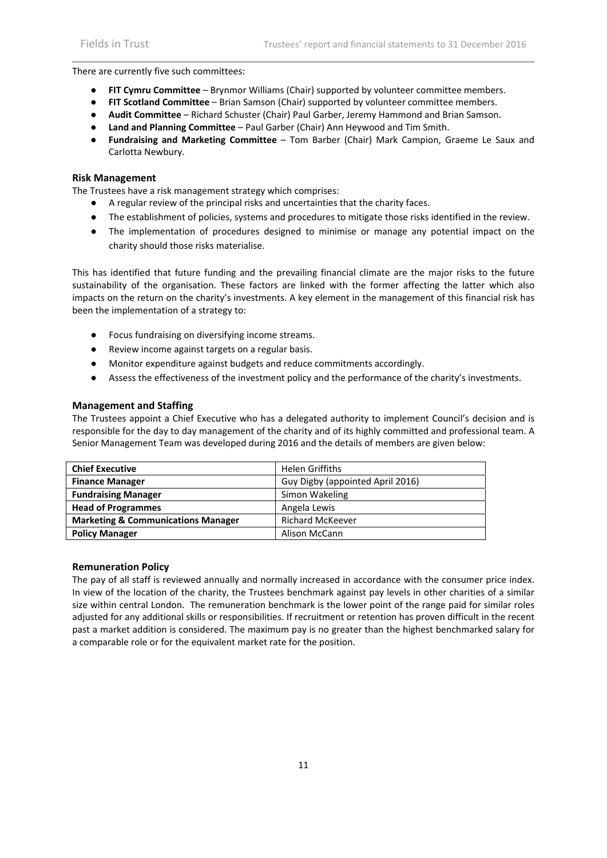There are currently five such committees:

- **FIT Cymru Committee** Brynmor Williams (Chair) supported by volunteer committee members.
- **FIT Scotland Committee** Brian Samson (Chair) supported by volunteer committee members.
- **Audit Committee** Richard Schuster (Chair) Paul Garber, Jeremy Hammond and Brian Samson.
- **Land and Planning Committee** Paul Garber (Chair) Ann Heywood and Tim Smith.
- **Fundraising and Marketing Committee** Tom Barber (Chair) Mark Campion, Graeme Le Saux and Carlotta Newbury.

## **Risk Management**

The Trustees have a risk management strategy which comprises:

- A regular review of the principal risks and uncertainties that the charity faces.
- The establishment of policies, systems and procedures to mitigate those risks identified in the review.
- The implementation of procedures designed to minimise or manage any potential impact on the charity should those risks materialise.

This has identified that future funding and the prevailing financial climate are the major risks to the future sustainability of the organisation. These factors are linked with the former affecting the latter which also impacts on the return on the charity's investments. A key element in the management of this financial risk has been the implementation of a strategy to:

- Focus fundraising on diversifying income streams.
- Review income against targets on a regular basis.
- Monitor expenditure against budgets and reduce commitments accordingly.
- Assess the effectiveness of the investment policy and the performance of the charity's investments.

## **Management and Staffing**

The Trustees appoint a Chief Executive who has a delegated authority to implement Council's decision and is responsible for the day to day management of the charity and of its highly committed and professional team. A Senior Management Team was developed during 2016 and the details of members are given below:

| <b>Chief Executive</b>                        | <b>Helen Griffiths</b>           |
|-----------------------------------------------|----------------------------------|
| <b>Finance Manager</b>                        | Guy Digby (appointed April 2016) |
| <b>Fundraising Manager</b>                    | Simon Wakeling                   |
| <b>Head of Programmes</b>                     | Angela Lewis                     |
| <b>Marketing &amp; Communications Manager</b> | <b>Richard McKeever</b>          |
| <b>Policy Manager</b>                         | Alison McCann                    |

## **Remuneration Policy**

The pay of all staff is reviewed annually and normally increased in accordance with the consumer price index. In view of the location of the charity, the Trustees benchmark against pay levels in other charities of a similar size within central London. The remuneration benchmark is the lower point of the range paid for similar roles adjusted for any additional skills or responsibilities. If recruitment or retention has proven difficult in the recent past a market addition is considered. The maximum pay is no greater than the highest benchmarked salary for a comparable role or for the equivalent market rate for the position.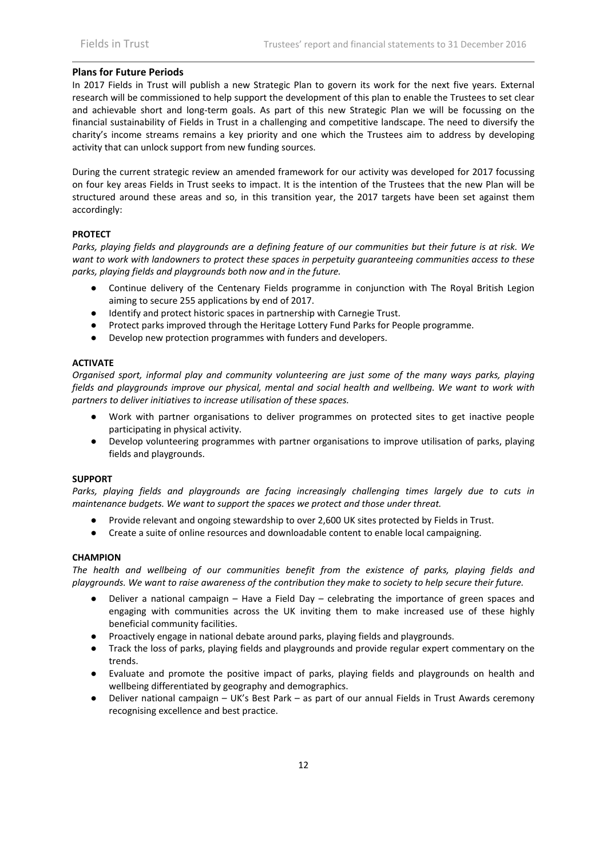### **Plans for Future Periods**

In 2017 Fields in Trust will publish a new Strategic Plan to govern its work for the next five years. External research will be commissioned to help support the development of this plan to enable the Trustees to set clear and achievable short and long‐term goals. As part of this new Strategic Plan we will be focussing on the financial sustainability of Fields in Trust in a challenging and competitive landscape. The need to diversify the charity's income streams remains a key priority and one which the Trustees aim to address by developing activity that can unlock support from new funding sources.

During the current strategic review an amended framework for our activity was developed for 2017 focussing on four key areas Fields in Trust seeks to impact. It is the intention of the Trustees that the new Plan will be structured around these areas and so, in this transition year, the 2017 targets have been set against them accordingly:

### **PROTECT**

Parks, playing fields and playgrounds are a defining feature of our communities but their future is at risk. We *want to work with landowners to protect these spaces in perpetuity guaranteeing communities access to these parks, playing fields and playgrounds both now and in the future.* 

- Continue delivery of the Centenary Fields programme in conjunction with The Royal British Legion aiming to secure 255 applications by end of 2017.
- Identify and protect historic spaces in partnership with Carnegie Trust.
- Protect parks improved through the Heritage Lottery Fund Parks for People programme.
- Develop new protection programmes with funders and developers.

#### **ACTIVATE**

*Organised sport, informal play and community volunteering are just some of the many ways parks, playing fields and playgrounds improve our physical, mental and social health and wellbeing. We want to work with partners to deliver initiatives to increase utilisation of these spaces.* 

- Work with partner organisations to deliver programmes on protected sites to get inactive people participating in physical activity.
- Develop volunteering programmes with partner organisations to improve utilisation of parks, playing fields and playgrounds.

#### **SUPPORT**

*Parks, playing fields and playgrounds are facing increasingly challenging times largely due to cuts in maintenance budgets. We want to support the spaces we protect and those under threat.* 

- Provide relevant and ongoing stewardship to over 2,600 UK sites protected by Fields in Trust.
- Create a suite of online resources and downloadable content to enable local campaigning.

#### **CHAMPION**

*The health and wellbeing of our communities benefit from the existence of parks, playing fields and* playgrounds. We want to raise awareness of the contribution they make to society to help secure their future.

- Deliver a national campaign Have a Field Day celebrating the importance of green spaces and engaging with communities across the UK inviting them to make increased use of these highly beneficial community facilities.
- Proactively engage in national debate around parks, playing fields and playgrounds.
- Track the loss of parks, playing fields and playgrounds and provide regular expert commentary on the trends.
- Evaluate and promote the positive impact of parks, playing fields and playgrounds on health and wellbeing differentiated by geography and demographics.
- Deliver national campaign UK's Best Park as part of our annual Fields in Trust Awards ceremony recognising excellence and best practice.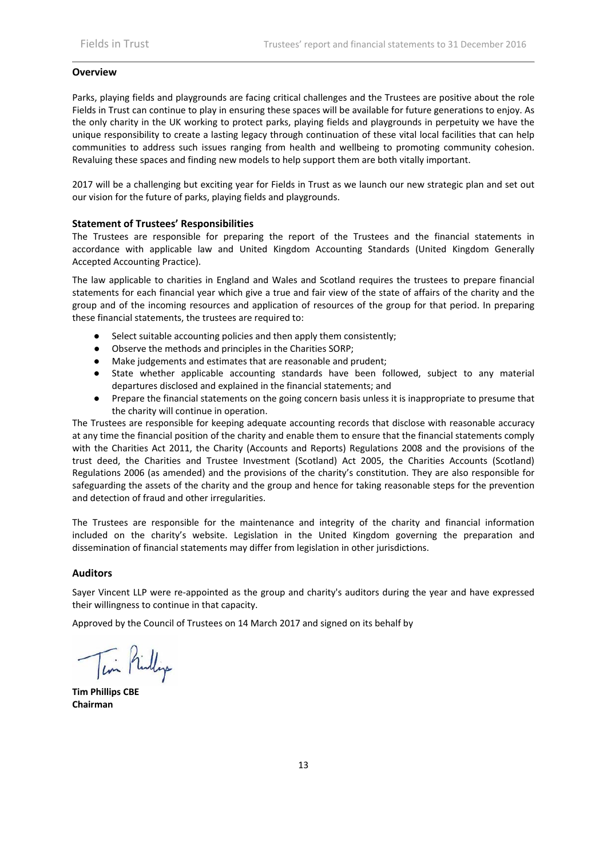#### **Overview**

Parks, playing fields and playgrounds are facing critical challenges and the Trustees are positive about the role Fields in Trust can continue to play in ensuring these spaces will be available for future generations to enjoy. As the only charity in the UK working to protect parks, playing fields and playgrounds in perpetuity we have the unique responsibility to create a lasting legacy through continuation of these vital local facilities that can help communities to address such issues ranging from health and wellbeing to promoting community cohesion. Revaluing these spaces and finding new models to help support them are both vitally important.

2017 will be a challenging but exciting year for Fields in Trust as we launch our new strategic plan and set out our vision for the future of parks, playing fields and playgrounds.

### **Statement of Trustees' Responsibilities**

The Trustees are responsible for preparing the report of the Trustees and the financial statements in accordance with applicable law and United Kingdom Accounting Standards (United Kingdom Generally Accepted Accounting Practice).

The law applicable to charities in England and Wales and Scotland requires the trustees to prepare financial statements for each financial year which give a true and fair view of the state of affairs of the charity and the group and of the incoming resources and application of resources of the group for that period. In preparing these financial statements, the trustees are required to:

- Select suitable accounting policies and then apply them consistently;
- Observe the methods and principles in the Charities SORP;
- Make judgements and estimates that are reasonable and prudent;
- State whether applicable accounting standards have been followed, subject to any material departures disclosed and explained in the financial statements; and
- Prepare the financial statements on the going concern basis unless it is inappropriate to presume that the charity will continue in operation.

The Trustees are responsible for keeping adequate accounting records that disclose with reasonable accuracy at any time the financial position of the charity and enable them to ensure that the financial statements comply with the Charities Act 2011, the Charity (Accounts and Reports) Regulations 2008 and the provisions of the trust deed, the Charities and Trustee Investment (Scotland) Act 2005, the Charities Accounts (Scotland) Regulations 2006 (as amended) and the provisions of the charity's constitution. They are also responsible for safeguarding the assets of the charity and the group and hence for taking reasonable steps for the prevention and detection of fraud and other irregularities.

The Trustees are responsible for the maintenance and integrity of the charity and financial information included on the charity's website. Legislation in the United Kingdom governing the preparation and dissemination of financial statements may differ from legislation in other jurisdictions.

#### **Auditors**

Sayer Vincent LLP were re‐appointed as the group and charity's auditors during the year and have expressed their willingness to continue in that capacity.

Approved by the Council of Trustees on 14 March 2017 and signed on its behalf by

Tim Pinlip

**Tim Phillips CBE Chairman**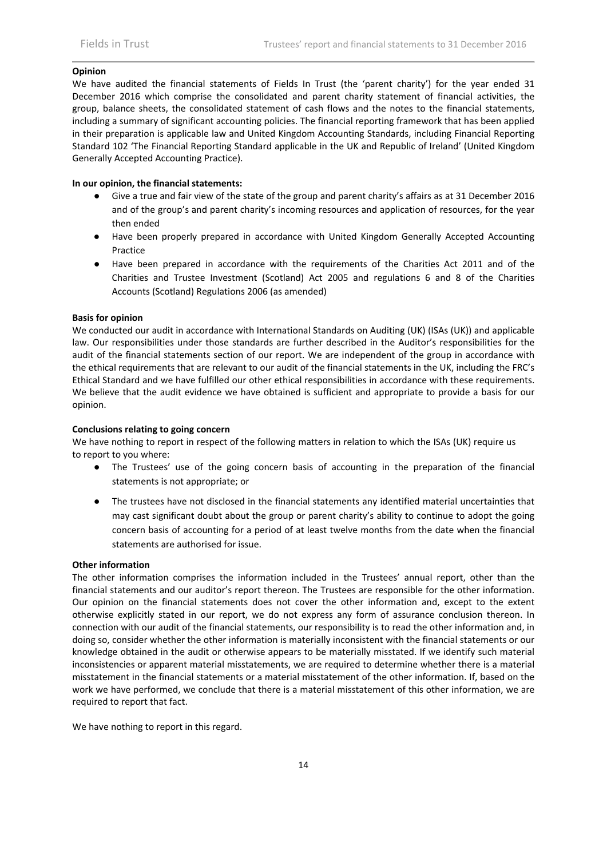### **Opinion**

We have audited the financial statements of Fields In Trust (the 'parent charity') for the year ended 31 December 2016 which comprise the consolidated and parent charity statement of financial activities, the group, balance sheets, the consolidated statement of cash flows and the notes to the financial statements, including a summary of significant accounting policies. The financial reporting framework that has been applied in their preparation is applicable law and United Kingdom Accounting Standards, including Financial Reporting Standard 102 'The Financial Reporting Standard applicable in the UK and Republic of Ireland' (United Kingdom Generally Accepted Accounting Practice).

### **In our opinion, the financial statements:**

- Give a true and fair view of the state of the group and parent charity's affairs as at 31 December 2016 and of the group's and parent charity's incoming resources and application of resources, for the year then ended
- Have been properly prepared in accordance with United Kingdom Generally Accepted Accounting Practice
- Have been prepared in accordance with the requirements of the Charities Act 2011 and of the Charities and Trustee Investment (Scotland) Act 2005 and regulations 6 and 8 of the Charities Accounts (Scotland) Regulations 2006 (as amended)

### **Basis for opinion**

We conducted our audit in accordance with International Standards on Auditing (UK) (ISAs (UK)) and applicable law. Our responsibilities under those standards are further described in the Auditor's responsibilities for the audit of the financial statements section of our report. We are independent of the group in accordance with the ethical requirements that are relevant to our audit of the financial statements in the UK, including the FRC's Ethical Standard and we have fulfilled our other ethical responsibilities in accordance with these requirements. We believe that the audit evidence we have obtained is sufficient and appropriate to provide a basis for our opinion.

## **Conclusions relating to going concern**

We have nothing to report in respect of the following matters in relation to which the ISAs (UK) require us to report to you where:

- The Trustees' use of the going concern basis of accounting in the preparation of the financial statements is not appropriate; or
- The trustees have not disclosed in the financial statements any identified material uncertainties that may cast significant doubt about the group or parent charity's ability to continue to adopt the going concern basis of accounting for a period of at least twelve months from the date when the financial statements are authorised for issue.

#### **Other information**

The other information comprises the information included in the Trustees' annual report, other than the financial statements and our auditor's report thereon. The Trustees are responsible for the other information. Our opinion on the financial statements does not cover the other information and, except to the extent otherwise explicitly stated in our report, we do not express any form of assurance conclusion thereon. In connection with our audit of the financial statements, our responsibility is to read the other information and, in doing so, consider whether the other information is materially inconsistent with the financial statements or our knowledge obtained in the audit or otherwise appears to be materially misstated. If we identify such material inconsistencies or apparent material misstatements, we are required to determine whether there is a material misstatement in the financial statements or a material misstatement of the other information. If, based on the work we have performed, we conclude that there is a material misstatement of this other information, we are required to report that fact.

We have nothing to report in this regard.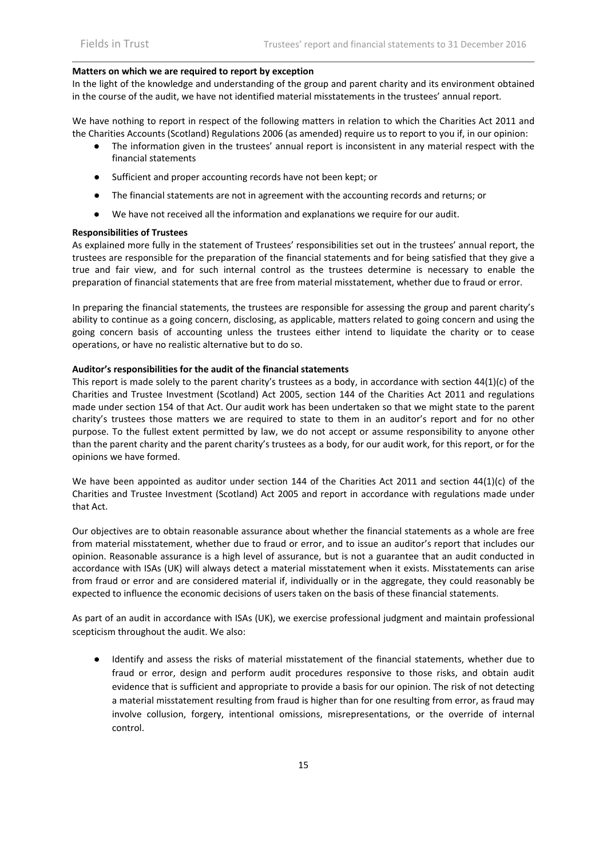### **Matters on which we are required to report by exception**

In the light of the knowledge and understanding of the group and parent charity and its environment obtained in the course of the audit, we have not identified material misstatements in the trustees' annual report.

We have nothing to report in respect of the following matters in relation to which the Charities Act 2011 and the Charities Accounts (Scotland) Regulations 2006 (as amended) require us to report to you if, in our opinion:

- The information given in the trustees' annual report is inconsistent in any material respect with the financial statements
- Sufficient and proper accounting records have not been kept; or
- The financial statements are not in agreement with the accounting records and returns; or
- We have not received all the information and explanations we require for our audit.

### **Responsibilities of Trustees**

As explained more fully in the statement of Trustees' responsibilities set out in the trustees' annual report, the trustees are responsible for the preparation of the financial statements and for being satisfied that they give a true and fair view, and for such internal control as the trustees determine is necessary to enable the preparation of financial statements that are free from material misstatement, whether due to fraud or error.

In preparing the financial statements, the trustees are responsible for assessing the group and parent charity's ability to continue as a going concern, disclosing, as applicable, matters related to going concern and using the going concern basis of accounting unless the trustees either intend to liquidate the charity or to cease operations, or have no realistic alternative but to do so.

### **Auditor's responsibilities for the audit of the financial statements**

This report is made solely to the parent charity's trustees as a body, in accordance with section  $44(1)(c)$  of the Charities and Trustee Investment (Scotland) Act 2005, section 144 of the Charities Act 2011 and regulations made under section 154 of that Act. Our audit work has been undertaken so that we might state to the parent charity's trustees those matters we are required to state to them in an auditor's report and for no other purpose. To the fullest extent permitted by law, we do not accept or assume responsibility to anyone other than the parent charity and the parent charity's trustees as a body, for our audit work, for this report, or for the opinions we have formed.

We have been appointed as auditor under section 144 of the Charities Act 2011 and section 44(1)(c) of the Charities and Trustee Investment (Scotland) Act 2005 and report in accordance with regulations made under that Act.

Our objectives are to obtain reasonable assurance about whether the financial statements as a whole are free from material misstatement, whether due to fraud or error, and to issue an auditor's report that includes our opinion. Reasonable assurance is a high level of assurance, but is not a guarantee that an audit conducted in accordance with ISAs (UK) will always detect a material misstatement when it exists. Misstatements can arise from fraud or error and are considered material if, individually or in the aggregate, they could reasonably be expected to influence the economic decisions of users taken on the basis of these financial statements.

As part of an audit in accordance with ISAs (UK), we exercise professional judgment and maintain professional scepticism throughout the audit. We also:

Identify and assess the risks of material misstatement of the financial statements, whether due to fraud or error, design and perform audit procedures responsive to those risks, and obtain audit evidence that is sufficient and appropriate to provide a basis for our opinion. The risk of not detecting a material misstatement resulting from fraud is higher than for one resulting from error, as fraud may involve collusion, forgery, intentional omissions, misrepresentations, or the override of internal control.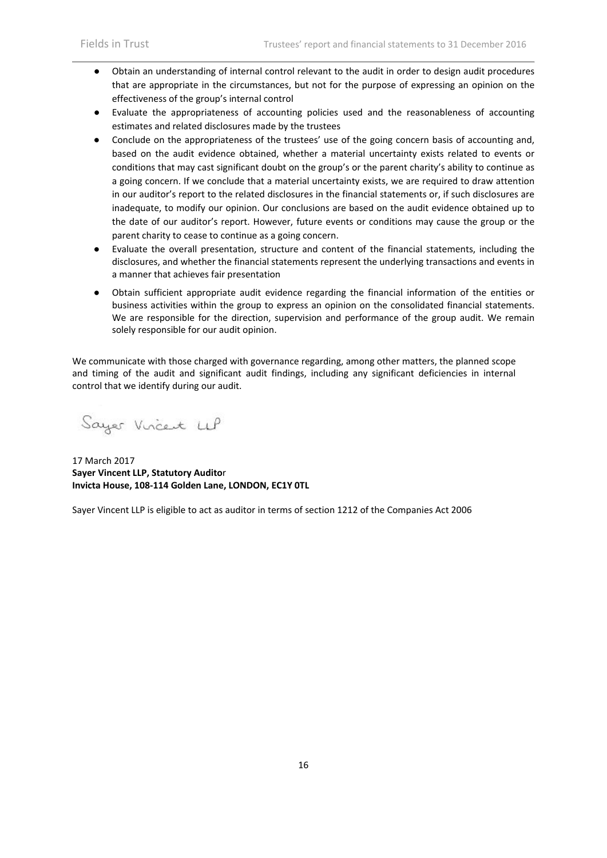- Obtain an understanding of internal control relevant to the audit in order to design audit procedures that are appropriate in the circumstances, but not for the purpose of expressing an opinion on the effectiveness of the group's internal control
- Evaluate the appropriateness of accounting policies used and the reasonableness of accounting estimates and related disclosures made by the trustees
- Conclude on the appropriateness of the trustees' use of the going concern basis of accounting and, based on the audit evidence obtained, whether a material uncertainty exists related to events or conditions that may cast significant doubt on the group's or the parent charity's ability to continue as a going concern. If we conclude that a material uncertainty exists, we are required to draw attention in our auditor's report to the related disclosures in the financial statements or, if such disclosures are inadequate, to modify our opinion. Our conclusions are based on the audit evidence obtained up to the date of our auditor's report. However, future events or conditions may cause the group or the parent charity to cease to continue as a going concern.
- Evaluate the overall presentation, structure and content of the financial statements, including the disclosures, and whether the financial statements represent the underlying transactions and events in a manner that achieves fair presentation
- Obtain sufficient appropriate audit evidence regarding the financial information of the entities or business activities within the group to express an opinion on the consolidated financial statements. We are responsible for the direction, supervision and performance of the group audit. We remain solely responsible for our audit opinion.

We communicate with those charged with governance regarding, among other matters, the planned scope and timing of the audit and significant audit findings, including any significant deficiencies in internal control that we identify during our audit.

Sayer Vincent LP

17 March 2017 **Sayer Vincent LLP, Statutory Audito**r **Invicta House, 108‐114 Golden Lane, LONDON, EC1Y 0TL**

Sayer Vincent LLP is eligible to act as auditor in terms of section 1212 of the Companies Act 2006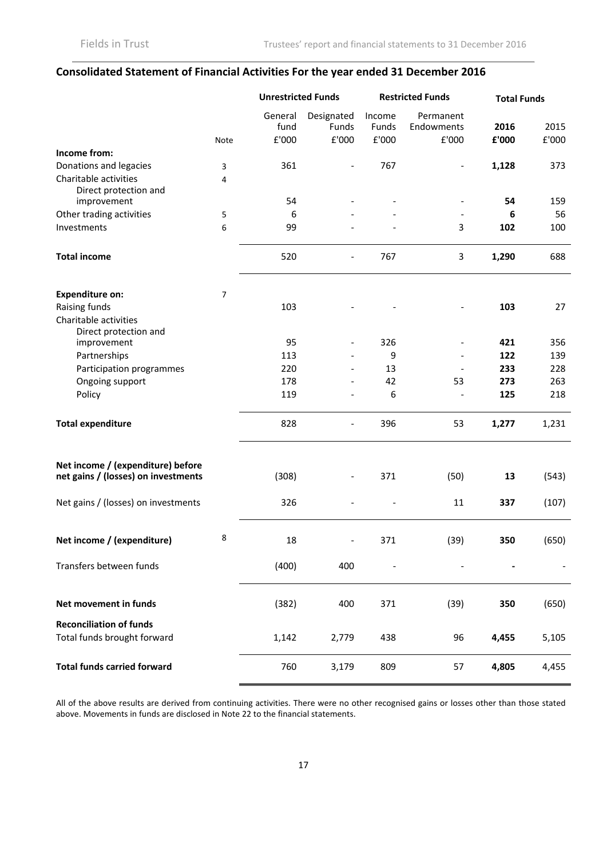## **Consolidated Statement of Financial Activities For the year ended 31 December 2016**

|                                                                          |                  | <b>Unrestricted Funds</b> |                              | <b>Restricted Funds</b>  |                                  | <b>Total Funds</b> |                       |
|--------------------------------------------------------------------------|------------------|---------------------------|------------------------------|--------------------------|----------------------------------|--------------------|-----------------------|
|                                                                          | Note             | General<br>fund<br>£'000  | Designated<br>Funds<br>£'000 | Income<br>Funds<br>£'000 | Permanent<br>Endowments<br>£'000 | 2016<br>£'000      | 2015<br>$\rm{f}$ '000 |
| Income from:                                                             |                  |                           |                              |                          |                                  |                    |                       |
| Donations and legacies                                                   | 3                | 361                       |                              | 767                      |                                  | 1,128              | 373                   |
| Charitable activities<br>Direct protection and                           | 4                |                           |                              |                          |                                  |                    |                       |
| improvement                                                              |                  | 54                        |                              |                          |                                  | 54                 | 159                   |
| Other trading activities                                                 | 5                | 6                         |                              |                          |                                  | 6                  | 56                    |
| Investments                                                              | 6                | 99                        |                              |                          | 3                                | 102                | 100                   |
| <b>Total income</b>                                                      |                  | 520                       |                              | 767                      | $\mathsf{3}$                     | 1,290              | 688                   |
| <b>Expenditure on:</b>                                                   | $\boldsymbol{7}$ |                           |                              |                          |                                  |                    |                       |
| Raising funds                                                            |                  | 103                       |                              |                          |                                  | 103                | 27                    |
| Charitable activities<br>Direct protection and                           |                  |                           |                              |                          |                                  |                    |                       |
| improvement                                                              |                  | 95                        | $\overline{a}$               | 326                      |                                  | 421                | 356                   |
| Partnerships                                                             |                  | 113                       |                              | 9                        |                                  | 122                | 139                   |
| Participation programmes                                                 |                  | 220                       | $\overline{\phantom{a}}$     | 13                       |                                  | 233                | 228                   |
| Ongoing support                                                          |                  | 178                       |                              | 42                       | 53                               | 273                | 263                   |
| Policy                                                                   |                  | 119                       |                              | 6                        |                                  | 125                | 218                   |
| <b>Total expenditure</b>                                                 |                  | 828                       | $\overline{\phantom{0}}$     | 396                      | 53                               | 1,277              | 1,231                 |
| Net income / (expenditure) before<br>net gains / (losses) on investments |                  | (308)                     |                              | 371                      | (50)                             | 13                 | (543)                 |
| Net gains / (losses) on investments                                      |                  | 326                       |                              |                          | 11                               | 337                | (107)                 |
| Net income / (expenditure)                                               | 8                | 18                        | $\qquad \qquad \blacksquare$ | 371                      | (39)                             | 350                | (650)                 |
| Transfers between funds                                                  |                  | (400)                     | 400                          |                          |                                  |                    |                       |
| Net movement in funds                                                    |                  | (382)                     | 400                          | 371                      | (39)                             | 350                | (650)                 |
| <b>Reconciliation of funds</b><br>Total funds brought forward            |                  | 1,142                     | 2,779                        | 438                      | 96                               | 4,455              | 5,105                 |
| <b>Total funds carried forward</b>                                       |                  | 760                       | 3,179                        | 809                      | 57                               | 4,805              | 4,455                 |

All of the above results are derived from continuing activities. There were no other recognised gains or losses other than those stated above. Movements in funds are disclosed in Note 22 to the financial statements.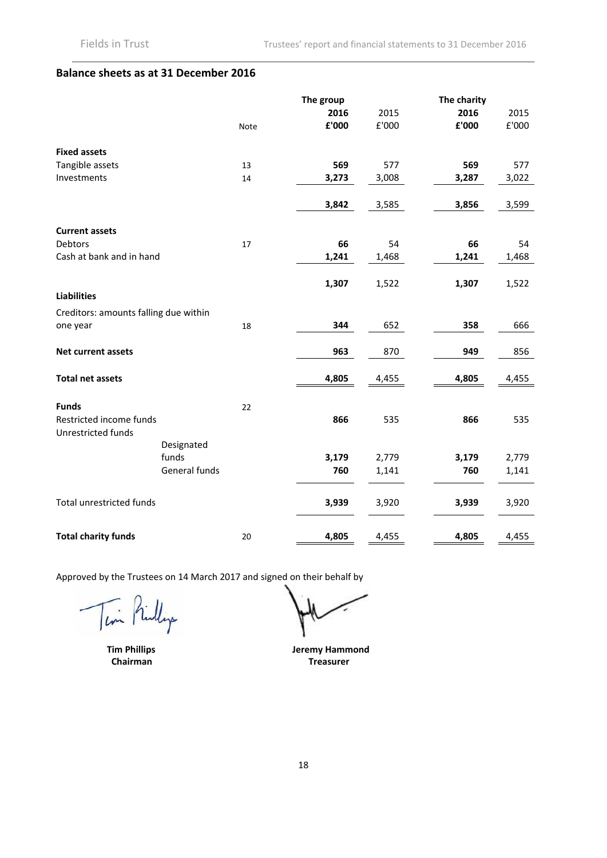## **Balance sheets as at 31 December 2016**

|                                               |               |      | The group<br>2016 | 2015  | The charity<br>2016 | 2015          |
|-----------------------------------------------|---------------|------|-------------------|-------|---------------------|---------------|
|                                               |               | Note | £'000             | £'000 | £'000               | ${\tt f}'000$ |
| <b>Fixed assets</b>                           |               |      |                   |       |                     |               |
| Tangible assets                               |               | 13   | 569               | 577   | 569                 | 577           |
| Investments                                   |               | 14   | 3,273             | 3,008 | 3,287               | 3,022         |
|                                               |               |      | 3,842             | 3,585 | 3,856               | 3,599         |
| <b>Current assets</b>                         |               |      |                   |       |                     |               |
| Debtors                                       |               | 17   | 66                | 54    | 66                  | 54            |
| Cash at bank and in hand                      |               |      | 1,241             | 1,468 | 1,241               | 1,468         |
|                                               |               |      | 1,307             | 1,522 | 1,307               | 1,522         |
| <b>Liabilities</b>                            |               |      |                   |       |                     |               |
| Creditors: amounts falling due within         |               |      |                   |       |                     |               |
| one year                                      |               | 18   | 344               | 652   | 358                 | 666           |
| <b>Net current assets</b>                     |               |      | 963               | 870   | 949                 | 856           |
| <b>Total net assets</b>                       |               |      | 4,805             | 4,455 | 4,805               | 4,455         |
| <b>Funds</b>                                  |               | 22   |                   |       |                     |               |
| Restricted income funds<br>Unrestricted funds |               |      | 866               | 535   | 866                 | 535           |
|                                               | Designated    |      |                   |       |                     |               |
|                                               | funds         |      | 3,179             | 2,779 | 3,179               | 2,779         |
|                                               | General funds |      | 760               | 1,141 | 760                 | 1,141         |
| Total unrestricted funds                      |               |      | 3,939             | 3,920 | 3,939               | 3,920         |
| <b>Total charity funds</b>                    |               | 20   | 4,805             | 4,455 | 4,805               | 4,455         |

Approved by the Trustees on 14 March 2017 and signed on their behalf by

Pillip Tim

and the contract of the contract of the contract of the contract of the contract of the contract of the contract of the contract of the contract of the contract of the contract of the contract of the contract of the contra

 **Tim Phillips Jeremy Hammond Chairman Treasurer**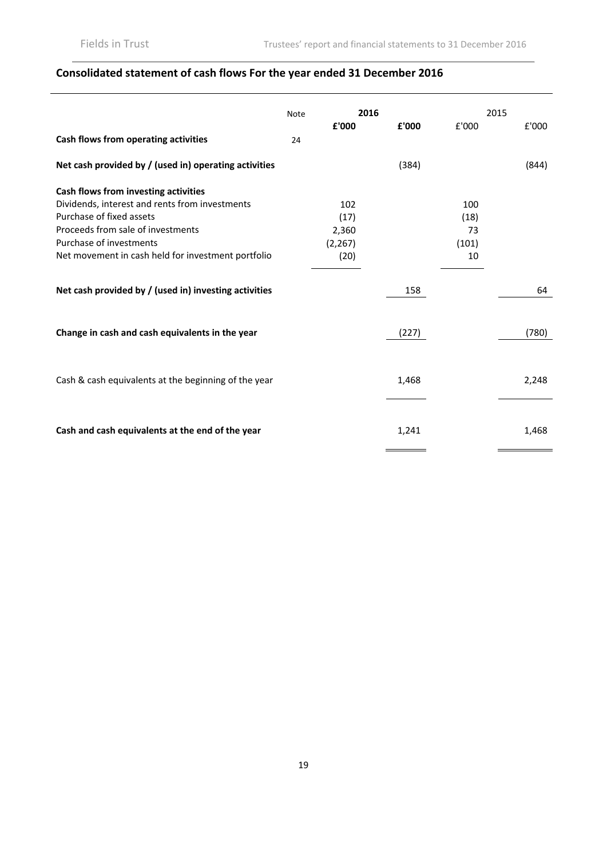# **Consolidated statement of cash flows For the year ended 31 December 2016**

|                                                                                                                                                                                    | Note |                                  | 2016  |                            | 2015 |       |
|------------------------------------------------------------------------------------------------------------------------------------------------------------------------------------|------|----------------------------------|-------|----------------------------|------|-------|
| Cash flows from operating activities                                                                                                                                               | 24   | £'000                            | £'000 | £'000                      |      | £'000 |
| Net cash provided by / (used in) operating activities                                                                                                                              |      |                                  | (384) |                            |      | (844) |
| Cash flows from investing activities<br>Dividends, interest and rents from investments<br>Purchase of fixed assets<br>Proceeds from sale of investments<br>Purchase of investments |      | 102<br>(17)<br>2,360<br>(2, 267) |       | 100<br>(18)<br>73<br>(101) |      |       |
| Net movement in cash held for investment portfolio                                                                                                                                 |      | (20)                             |       | 10                         |      |       |
| Net cash provided by / (used in) investing activities                                                                                                                              |      |                                  | 158   |                            |      | 64    |
| Change in cash and cash equivalents in the year                                                                                                                                    |      |                                  | (227) |                            |      | (780) |
| Cash & cash equivalents at the beginning of the year                                                                                                                               |      |                                  | 1,468 |                            |      | 2,248 |
| Cash and cash equivalents at the end of the year                                                                                                                                   |      |                                  | 1,241 |                            |      | 1,468 |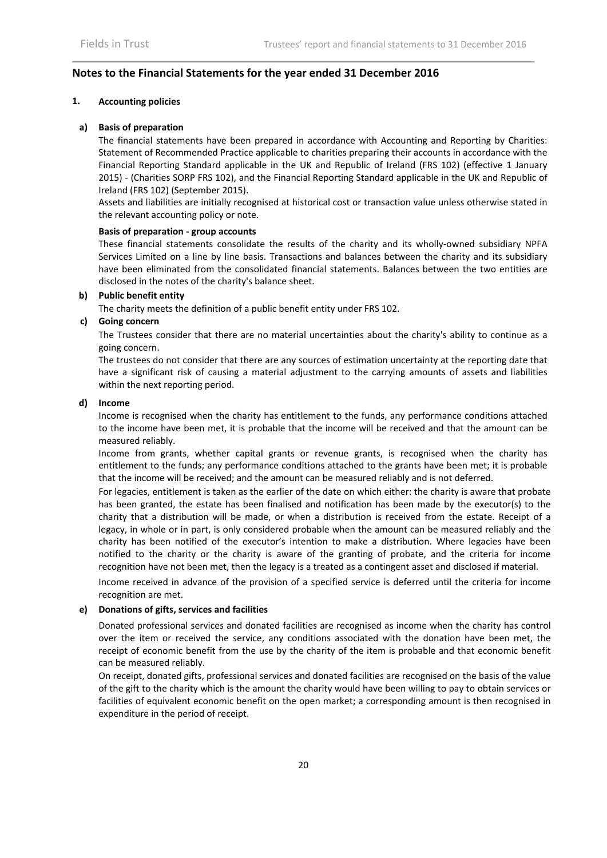## **Notes to the Financial Statements for the year ended 31 December 2016**

### **1. Accounting policies**

#### **a) Basis of preparation**

The financial statements have been prepared in accordance with Accounting and Reporting by Charities: Statement of Recommended Practice applicable to charities preparing their accounts in accordance with the Financial Reporting Standard applicable in the UK and Republic of Ireland (FRS 102) (effective 1 January 2015) ‐ (Charities SORP FRS 102), and the Financial Reporting Standard applicable in the UK and Republic of Ireland (FRS 102) (September 2015).

Assets and liabilities are initially recognised at historical cost or transaction value unless otherwise stated in the relevant accounting policy or note.

#### **Basis of preparation ‐ group accounts**

These financial statements consolidate the results of the charity and its wholly-owned subsidiary NPFA Services Limited on a line by line basis. Transactions and balances between the charity and its subsidiary have been eliminated from the consolidated financial statements. Balances between the two entities are disclosed in the notes of the charity's balance sheet.

#### **b) Public benefit entity**

The charity meets the definition of a public benefit entity under FRS 102.

#### **c) Going concern**

The Trustees consider that there are no material uncertainties about the charity's ability to continue as a going concern.

The trustees do not consider that there are any sources of estimation uncertainty at the reporting date that have a significant risk of causing a material adjustment to the carrying amounts of assets and liabilities within the next reporting period.

#### **d) Income**

Income is recognised when the charity has entitlement to the funds, any performance conditions attached to the income have been met, it is probable that the income will be received and that the amount can be measured reliably.

Income from grants, whether capital grants or revenue grants, is recognised when the charity has entitlement to the funds; any performance conditions attached to the grants have been met; it is probable that the income will be received; and the amount can be measured reliably and is not deferred.

For legacies, entitlement is taken as the earlier of the date on which either: the charity is aware that probate has been granted, the estate has been finalised and notification has been made by the executor(s) to the charity that a distribution will be made, or when a distribution is received from the estate. Receipt of a legacy, in whole or in part, is only considered probable when the amount can be measured reliably and the charity has been notified of the executor's intention to make a distribution. Where legacies have been notified to the charity or the charity is aware of the granting of probate, and the criteria for income recognition have not been met, then the legacy is a treated as a contingent asset and disclosed if material.

Income received in advance of the provision of a specified service is deferred until the criteria for income recognition are met.

#### **e) Donations of gifts, services and facilities**

Donated professional services and donated facilities are recognised as income when the charity has control over the item or received the service, any conditions associated with the donation have been met, the receipt of economic benefit from the use by the charity of the item is probable and that economic benefit can be measured reliably.

On receipt, donated gifts, professional services and donated facilities are recognised on the basis of the value of the gift to the charity which is the amount the charity would have been willing to pay to obtain services or facilities of equivalent economic benefit on the open market; a corresponding amount is then recognised in expenditure in the period of receipt.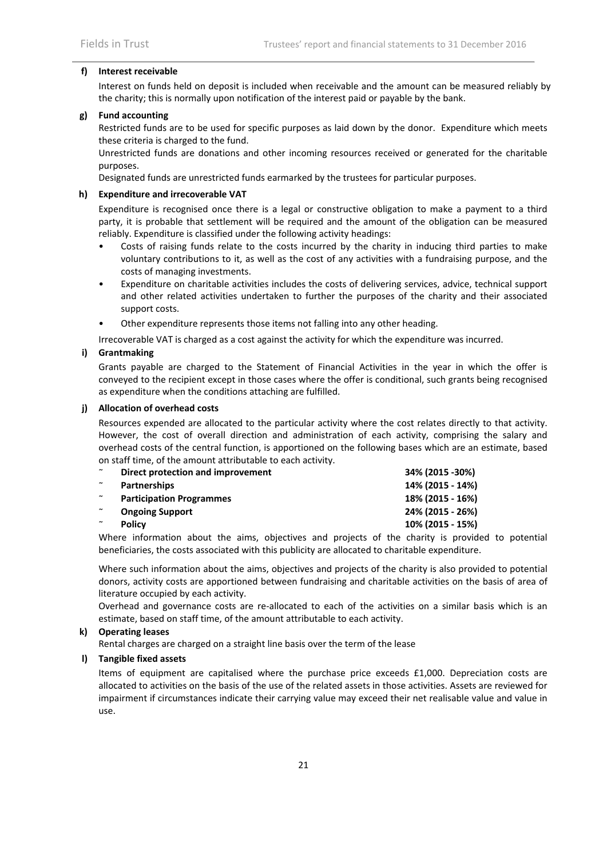## **f) Interest receivable**

Interest on funds held on deposit is included when receivable and the amount can be measured reliably by the charity; this is normally upon notification of the interest paid or payable by the bank.

### **g) Fund accounting**

Restricted funds are to be used for specific purposes as laid down by the donor. Expenditure which meets these criteria is charged to the fund.

Unrestricted funds are donations and other incoming resources received or generated for the charitable purposes.

Designated funds are unrestricted funds earmarked by the trustees for particular purposes.

## **h) Expenditure and irrecoverable VAT**

Expenditure is recognised once there is a legal or constructive obligation to make a payment to a third party, it is probable that settlement will be required and the amount of the obligation can be measured reliably. Expenditure is classified under the following activity headings:

- Costs of raising funds relate to the costs incurred by the charity in inducing third parties to make voluntary contributions to it, as well as the cost of any activities with a fundraising purpose, and the costs of managing investments.
- Expenditure on charitable activities includes the costs of delivering services, advice, technical support and other related activities undertaken to further the purposes of the charity and their associated support costs.
- Other expenditure represents those items not falling into any other heading.
- Irrecoverable VAT is charged as a cost against the activity for which the expenditure was incurred.

## **i) Grantmaking**

Grants payable are charged to the Statement of Financial Activities in the year in which the offer is conveyed to the recipient except in those cases where the offer is conditional, such grants being recognised as expenditure when the conditions attaching are fulfilled.

### **j) Allocation of overhead costs**

Resources expended are allocated to the particular activity where the cost relates directly to that activity. However, the cost of overall direction and administration of each activity, comprising the salary and overhead costs of the central function, is apportioned on the following bases which are an estimate, based on staff time, of the amount attributable to each activity.

| Direct protection and improvement | 34% (2015 -30%)  |
|-----------------------------------|------------------|
| <b>Partnerships</b>               | 14% (2015 - 14%) |
| <b>Participation Programmes</b>   | 18% (2015 - 16%) |
| <b>Ongoing Support</b>            | 24% (2015 - 26%) |
| <b>Policy</b>                     | 10% (2015 - 15%) |
|                                   |                  |

Where information about the aims, objectives and projects of the charity is provided to potential beneficiaries, the costs associated with this publicity are allocated to charitable expenditure.

Where such information about the aims, objectives and projects of the charity is also provided to potential donors, activity costs are apportioned between fundraising and charitable activities on the basis of area of literature occupied by each activity.

Overhead and governance costs are re-allocated to each of the activities on a similar basis which is an estimate, based on staff time, of the amount attributable to each activity.

#### **k) Operating leases**

Rental charges are charged on a straight line basis over the term of the lease

## **l) Tangible fixed assets**

Items of equipment are capitalised where the purchase price exceeds £1,000. Depreciation costs are allocated to activities on the basis of the use of the related assets in those activities. Assets are reviewed for impairment if circumstances indicate their carrying value may exceed their net realisable value and value in use.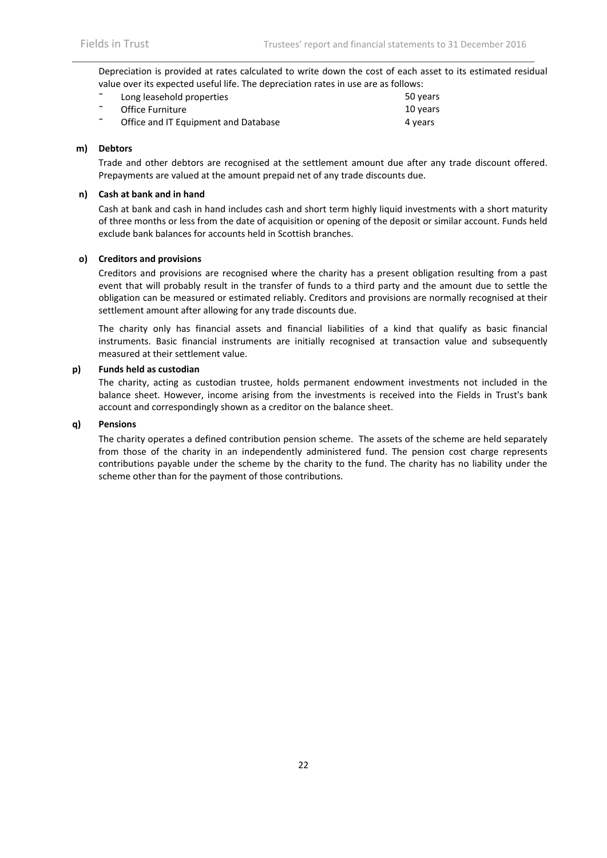Depreciation is provided at rates calculated to write down the cost of each asset to its estimated residual value over its expected useful life. The depreciation rates in use are as follows:

| ້                     | Long leasehold properties            | 50 years |
|-----------------------|--------------------------------------|----------|
| $\tilde{\phantom{a}}$ | Office Furniture                     | 10 years |
| $\tilde{\phantom{a}}$ | Office and IT Equipment and Database | 4 years  |

### **m) Debtors**

Trade and other debtors are recognised at the settlement amount due after any trade discount offered. Prepayments are valued at the amount prepaid net of any trade discounts due.

### **n) Cash at bank and in hand**

Cash at bank and cash in hand includes cash and short term highly liquid investments with a short maturity of three months or less from the date of acquisition or opening of the deposit or similar account. Funds held exclude bank balances for accounts held in Scottish branches.

## **o) Creditors and provisions**

Creditors and provisions are recognised where the charity has a present obligation resulting from a past event that will probably result in the transfer of funds to a third party and the amount due to settle the obligation can be measured or estimated reliably. Creditors and provisions are normally recognised at their settlement amount after allowing for any trade discounts due.

The charity only has financial assets and financial liabilities of a kind that qualify as basic financial instruments. Basic financial instruments are initially recognised at transaction value and subsequently measured at their settlement value.

### **p) Funds held as custodian**

The charity, acting as custodian trustee, holds permanent endowment investments not included in the balance sheet. However, income arising from the investments is received into the Fields in Trust's bank account and correspondingly shown as a creditor on the balance sheet.

#### **q) Pensions**

The charity operates a defined contribution pension scheme. The assets of the scheme are held separately from those of the charity in an independently administered fund. The pension cost charge represents contributions payable under the scheme by the charity to the fund. The charity has no liability under the scheme other than for the payment of those contributions.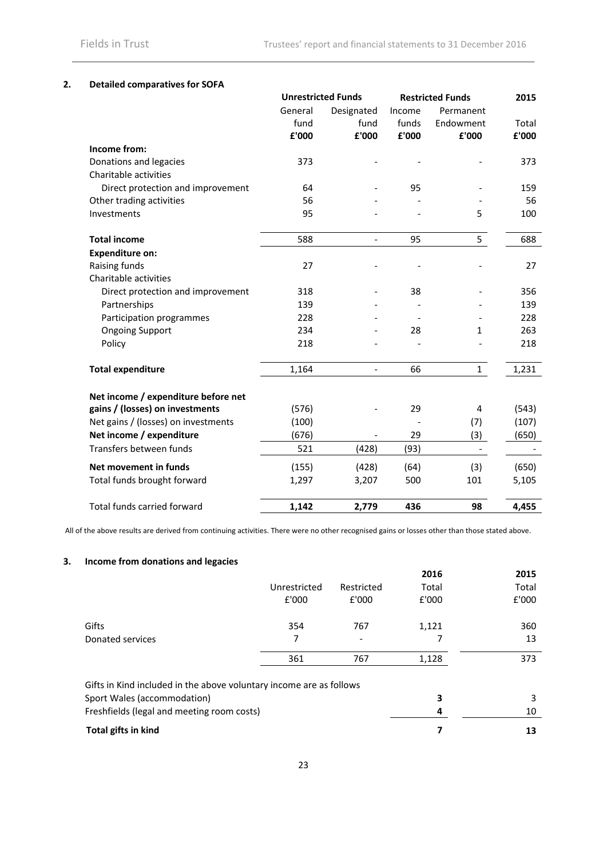## **2. Detailed comparatives for SOFA**

|                                     | <b>Unrestricted Funds</b> |                          |        | <b>Restricted Funds</b> | 2015  |  |
|-------------------------------------|---------------------------|--------------------------|--------|-------------------------|-------|--|
|                                     | General                   | Designated               | Income | Permanent               |       |  |
|                                     | fund                      | fund                     | funds  | Endowment               | Total |  |
|                                     | £'000                     | £'000                    | £'000  | £'000                   | £'000 |  |
| Income from:                        |                           |                          |        |                         |       |  |
| Donations and legacies              | 373                       |                          |        |                         | 373   |  |
| Charitable activities               |                           |                          |        |                         |       |  |
| Direct protection and improvement   | 64                        |                          | 95     |                         | 159   |  |
| Other trading activities            | 56                        |                          |        |                         | 56    |  |
| Investments                         | 95                        |                          |        | 5                       | 100   |  |
|                                     |                           |                          |        |                         |       |  |
| <b>Total income</b>                 | 588                       | $\overline{\phantom{a}}$ | 95     | 5                       | 688   |  |
| <b>Expenditure on:</b>              |                           |                          |        |                         |       |  |
| Raising funds                       | 27                        |                          |        |                         | 27    |  |
| Charitable activities               |                           |                          |        |                         |       |  |
| Direct protection and improvement   | 318                       |                          | 38     |                         | 356   |  |
| Partnerships                        | 139                       |                          |        |                         | 139   |  |
| Participation programmes            | 228                       |                          |        |                         | 228   |  |
| <b>Ongoing Support</b>              | 234                       |                          | 28     | 1                       | 263   |  |
| Policy                              | 218                       |                          |        |                         | 218   |  |
| <b>Total expenditure</b>            | 1,164                     | $\overline{\phantom{0}}$ | 66     | $\mathbf{1}$            | 1,231 |  |
| Net income / expenditure before net |                           |                          |        |                         |       |  |
| gains / (losses) on investments     | (576)                     |                          | 29     | 4                       | (543) |  |
| Net gains / (losses) on investments | (100)                     |                          |        | (7)                     | (107) |  |
| Net income / expenditure            | (676)                     |                          | 29     | (3)                     | (650) |  |
| Transfers between funds             | 521                       | (428)                    | (93)   |                         |       |  |
|                                     |                           |                          |        |                         |       |  |
| Net movement in funds               | (155)                     | (428)                    | (64)   | (3)                     | (650) |  |
| Total funds brought forward         | 1,297                     | 3,207                    | 500    | 101                     | 5,105 |  |
|                                     |                           |                          |        |                         |       |  |

All of the above results are derived from continuing activities. There were no other recognised gains or losses other than those stated above.

## **3. Income from donations and legacies**

|                                                                     | Unrestricted<br>£'000 | Restricted<br>f'000 | 2016<br>Total<br>£'000 | 2015<br>Total<br>£'000 |
|---------------------------------------------------------------------|-----------------------|---------------------|------------------------|------------------------|
| Gifts                                                               | 354                   | 767                 | 1,121                  | 360                    |
| Donated services                                                    | 7                     | ٠                   |                        | 13                     |
|                                                                     | 361                   | 767                 | 1,128                  | 373                    |
| Gifts in Kind included in the above voluntary income are as follows |                       |                     |                        |                        |
| Sport Wales (accommodation)                                         |                       |                     | 3                      | 3                      |
| Freshfields (legal and meeting room costs)                          |                       |                     | 4                      | 10                     |
| Total gifts in kind                                                 |                       |                     |                        | 13                     |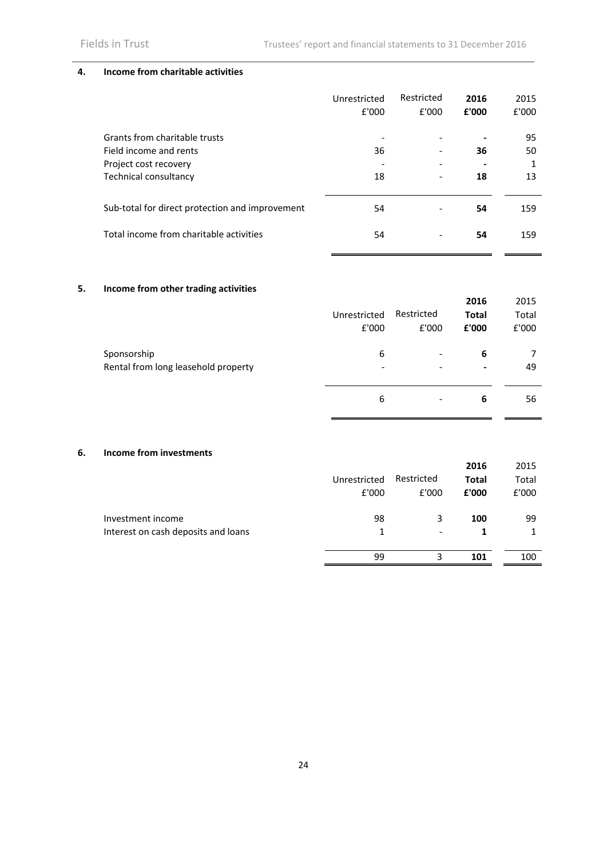## **4. Income from charitable activities**

|                                                 | Unrestricted<br>£'000 | Restricted<br>£'000 | 2016<br>£'000 | 2015<br>£'000 |
|-------------------------------------------------|-----------------------|---------------------|---------------|---------------|
| Grants from charitable trusts                   |                       |                     |               | 95            |
| Field income and rents                          | 36                    |                     | 36            | 50            |
| Project cost recovery                           |                       |                     |               | 1             |
| Technical consultancy                           | 18                    |                     | 18            | 13            |
|                                                 |                       |                     |               |               |
| Sub-total for direct protection and improvement | 54                    |                     | 54            | 159           |
| Total income from charitable activities         | 54                    |                     | 54            | 159           |

## **5. Income from other trading activities**

| . .                                                | Unrestricted<br>£'000 | Restricted<br>£'000                                  | 2016<br><b>Total</b><br>£'000 | 2015<br>Total<br>£'000 |
|----------------------------------------------------|-----------------------|------------------------------------------------------|-------------------------------|------------------------|
| Sponsorship<br>Rental from long leasehold property | 6<br>٠                | $\overline{\phantom{a}}$<br>$\overline{\phantom{a}}$ | 6                             | 49                     |
|                                                    | 6                     | $\qquad \qquad \blacksquare$                         | 6                             | 56                     |

# **6. Income from investments**

|                                     | Unrestricted<br>£'000 | Restricted<br>£'000      | 2016<br><b>Total</b><br>£'000 | 2015<br>Total<br>£'000 |
|-------------------------------------|-----------------------|--------------------------|-------------------------------|------------------------|
| Investment income                   | 98                    | 3                        | 100                           | 99                     |
| Interest on cash deposits and loans | 1                     | $\overline{\phantom{a}}$ | 1                             |                        |
|                                     |                       |                          |                               |                        |
|                                     | 99                    | 3                        | 101                           | 100                    |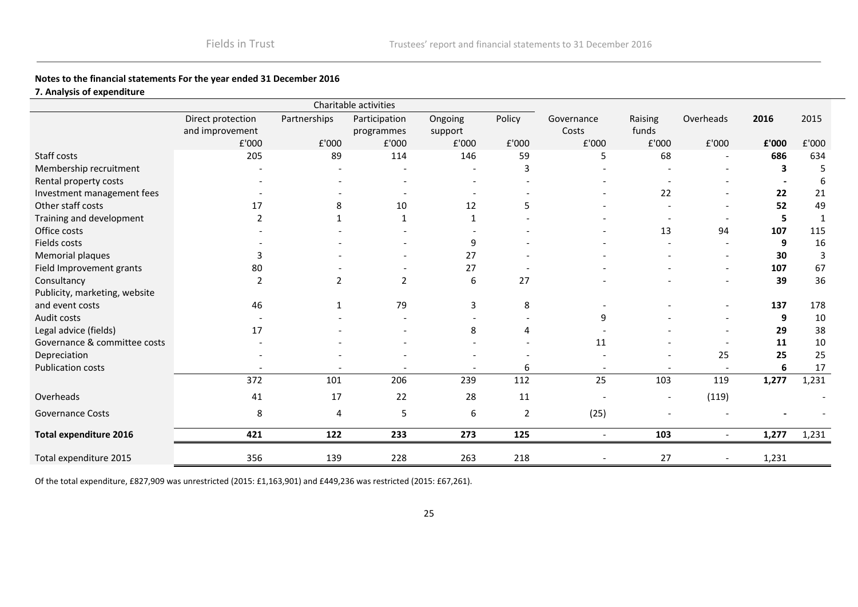#### **Notes to the financial statements For the year ended 31 December 2016**

#### **7. Analysis of expenditure**

| Charitable activities         |                                      |                |                             |                    |                |                              |                  |                          |       |        |
|-------------------------------|--------------------------------------|----------------|-----------------------------|--------------------|----------------|------------------------------|------------------|--------------------------|-------|--------|
|                               | Direct protection<br>and improvement | Partnerships   | Participation<br>programmes | Ongoing<br>support | Policy         | Governance<br>Costs          | Raising<br>funds | Overheads                | 2016  | 2015   |
|                               | £'000                                | £'000          | £'000                       | £'000              | £'000          | £'000                        | £'000            | £'000                    | £'000 | £'000  |
| Staff costs                   | 205                                  | 89             | 114                         | 146                | 59             | 5                            | 68               | $\overline{\phantom{a}}$ | 686   | 634    |
| Membership recruitment        |                                      |                |                             |                    | 3              |                              |                  |                          | 3     | 5      |
| Rental property costs         |                                      |                |                             |                    |                |                              |                  |                          |       | 6      |
| Investment management fees    |                                      |                |                             |                    |                |                              | 22               |                          | 22    | 21     |
| Other staff costs             | 17                                   | 8              | 10                          | 12                 |                |                              |                  |                          | 52    | 49     |
| Training and development      | 2                                    |                |                             |                    |                |                              |                  |                          | 5     | 1      |
| Office costs                  |                                      |                |                             |                    |                |                              | 13               | 94                       | 107   | 115    |
| Fields costs                  |                                      |                |                             | 9                  |                |                              |                  |                          | 9     | 16     |
| Memorial plaques              |                                      |                |                             | 27                 |                |                              |                  |                          | 30    | 3      |
| Field Improvement grants      | 80                                   |                |                             | 27                 |                |                              |                  |                          | 107   | 67     |
| Consultancy                   | 2                                    | $\overline{2}$ | $\overline{2}$              | 6                  | 27             |                              |                  |                          | 39    | 36     |
| Publicity, marketing, website |                                      |                |                             |                    |                |                              |                  |                          |       |        |
| and event costs               | 46                                   |                | 79                          | 3                  | 8              |                              |                  |                          | 137   | 178    |
| Audit costs                   |                                      |                |                             |                    |                | 9                            |                  |                          | 9     | 10     |
| Legal advice (fields)         | 17                                   |                |                             | 8                  |                |                              |                  |                          | 29    | 38     |
| Governance & committee costs  |                                      |                |                             |                    |                | 11                           |                  |                          | 11    | $10\,$ |
| Depreciation                  |                                      |                |                             |                    |                |                              |                  | 25                       | 25    | 25     |
| <b>Publication costs</b>      |                                      |                |                             |                    | 6              |                              |                  |                          | 6     | 17     |
|                               | 372                                  | 101            | 206                         | 239                | 112            | 25                           | 103              | 119                      | 1,277 | 1,231  |
| Overheads                     | 41                                   | 17             | 22                          | 28                 | 11             |                              |                  | (119)                    |       |        |
| <b>Governance Costs</b>       | 8                                    | 4              | 5                           | 6                  | $\overline{2}$ | (25)                         |                  |                          |       |        |
| <b>Total expenditure 2016</b> | 421                                  | 122            | 233                         | 273                | 125            | $\overline{\phantom{a}}$     | 103              | $\overline{\phantom{a}}$ | 1,277 | 1,231  |
| Total expenditure 2015        | 356                                  | 139            | 228                         | 263                | 218            | $\qquad \qquad \blacksquare$ | 27               | $\overline{\phantom{a}}$ | 1,231 |        |

Of the total expenditure, £827,909 was unrestricted (2015: £1,163,901) and £449,236 was restricted (2015: £67,261).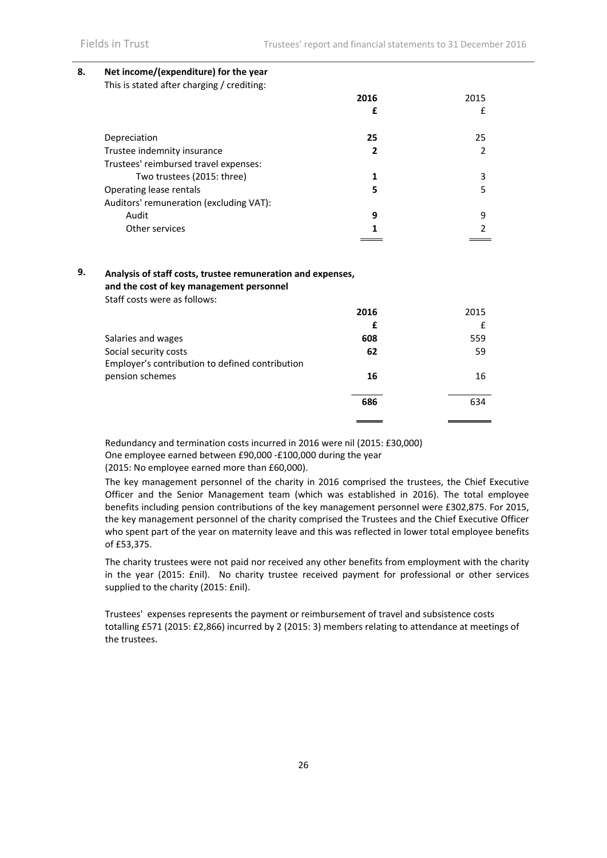### **8. Net income/(expenditure) for the year** This is stated after charging / crediting:

|                                         | 2016 | 2015 |
|-----------------------------------------|------|------|
|                                         | £    | f    |
| Depreciation                            | 25   | 25   |
| Trustee indemnity insurance             | 2    |      |
| Trustees' reimbursed travel expenses:   |      |      |
| Two trustees (2015: three)              |      | 3    |
| Operating lease rentals                 | 5    | 5    |
| Auditors' remuneration (excluding VAT): |      |      |
| Audit                                   | 9    | 9    |
| Other services                          |      |      |

## **9. Analysis of staff costs, trustee remuneration and expenses, and the cost of key management personnel**

Staff costs were as follows:

|                                                                    | 2016 | 2015 |
|--------------------------------------------------------------------|------|------|
|                                                                    | £    |      |
| Salaries and wages                                                 | 608  | 559  |
| Social security costs                                              | 62   | 59   |
| Employer's contribution to defined contribution<br>pension schemes | 16   | 16   |
|                                                                    | 686  | 634  |

Redundancy and termination costs incurred in 2016 were nil (2015: £30,000) One employee earned between £90,000 ‐£100,000 during the year

(2015: No employee earned more than £60,000).

The key management personnel of the charity in 2016 comprised the trustees, the Chief Executive Officer and the Senior Management team (which was established in 2016). The total employee benefits including pension contributions of the key management personnel were £302,875. For 2015, the key management personnel of the charity comprised the Trustees and the Chief Executive Officer who spent part of the year on maternity leave and this was reflected in lower total employee benefits of £53,375.

The charity trustees were not paid nor received any other benefits from employment with the charity in the year (2015: £nil). No charity trustee received payment for professional or other services supplied to the charity (2015: £nil).

Trustees' expenses represents the payment or reimbursement of travel and subsistence costs totalling £571 (2015: £2,866) incurred by 2 (2015: 3) members relating to attendance at meetings of the trustees.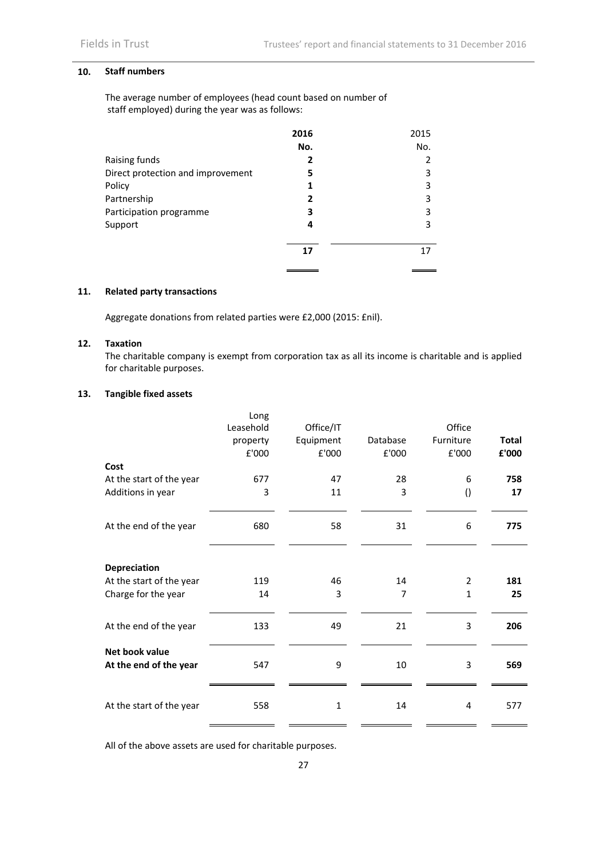### **10. Staff numbers**

The average number of employees (head count based on number of staff employed) during the year was as follows:

|                                   | 2016 | 2015 |
|-----------------------------------|------|------|
|                                   | No.  | No.  |
| Raising funds                     | 2    |      |
| Direct protection and improvement | 5    | 3    |
| Policy                            |      | 3    |
| Partnership                       | 2    | 3    |
| Participation programme           | 3    | 3    |
| Support                           | 4    | 3    |
|                                   | 17   | 17   |
|                                   |      |      |

## **11. Related party transactions**

Aggregate donations from related parties were £2,000 (2015: £nil).

#### **12. Taxation**

The charitable company is exempt from corporation tax as all its income is charitable and is applied for charitable purposes.

### **13. Tangible fixed assets**

| Cost                     | Long<br>Leasehold<br>property<br>£'000 | Office/IT<br>Equipment<br>£'000 | Database<br>£'000 | Office<br>Furniture<br>£'000 | <b>Total</b><br>£'000 |
|--------------------------|----------------------------------------|---------------------------------|-------------------|------------------------------|-----------------------|
| At the start of the year | 677                                    | 47                              | 28                | 6                            | 758                   |
| Additions in year        | 3                                      | 11                              | 3                 | $\left( \right)$             | 17                    |
|                          |                                        |                                 |                   |                              |                       |
|                          |                                        |                                 |                   |                              |                       |
| At the end of the year   | 680                                    | 58                              | 31                | 6                            | 775                   |
|                          |                                        |                                 |                   |                              |                       |
|                          |                                        |                                 |                   |                              |                       |
| Depreciation             |                                        |                                 |                   |                              |                       |
| At the start of the year | 119                                    | 46                              | 14                | $\overline{2}$               | 181                   |
| Charge for the year      | 14                                     | 3                               | 7                 | $\mathbf{1}$                 | 25                    |
|                          |                                        |                                 |                   |                              |                       |
| At the end of the year   | 133                                    | 49                              | 21                | 3                            | 206                   |
|                          |                                        |                                 |                   |                              |                       |
| Net book value           |                                        |                                 |                   |                              |                       |
| At the end of the year   | 547                                    | 9                               | 10                | 3                            | 569                   |
|                          |                                        |                                 |                   |                              |                       |
|                          |                                        |                                 |                   |                              |                       |
| At the start of the year | 558                                    | $\mathbf{1}$                    | 14                | 4                            | 577                   |
|                          |                                        |                                 |                   |                              |                       |
|                          |                                        |                                 |                   |                              |                       |

All of the above assets are used for charitable purposes.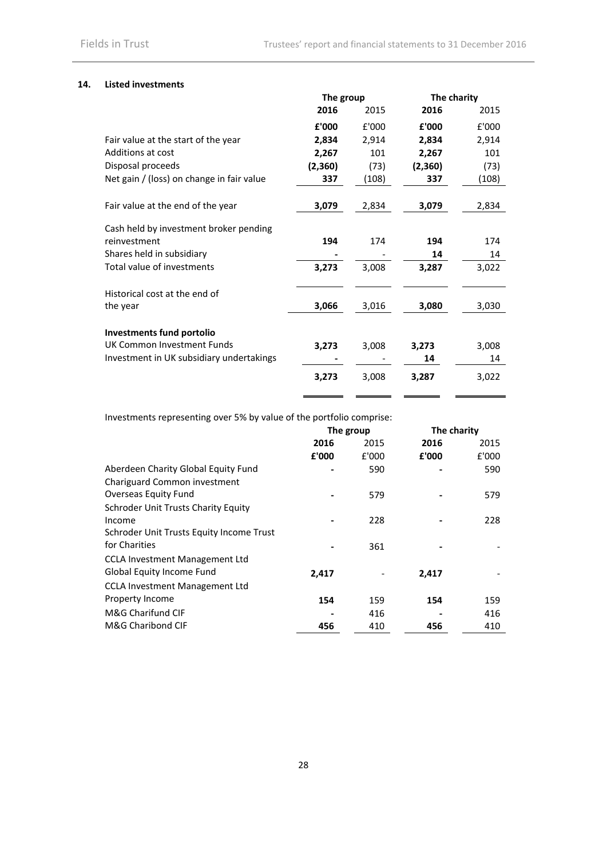## **14. Listed investments**

|                                           | The group |       |         | The charity |  |
|-------------------------------------------|-----------|-------|---------|-------------|--|
|                                           | 2016      | 2015  | 2016    | 2015        |  |
|                                           | £'000     | E'000 | £'000   | E'000       |  |
| Fair value at the start of the year       | 2,834     | 2,914 | 2,834   | 2,914       |  |
| Additions at cost                         | 2,267     | 101   | 2,267   | 101         |  |
| Disposal proceeds                         | (2,360)   | (73)  | (2,360) | (73)        |  |
| Net gain / (loss) on change in fair value | 337       | (108) | 337     | (108)       |  |
| Fair value at the end of the year         | 3,079     | 2,834 | 3,079   | 2,834       |  |
| Cash held by investment broker pending    |           |       |         |             |  |
| reinvestment                              | 194       | 174   | 194     | 174         |  |
| Shares held in subsidiary                 |           |       | 14      | 14          |  |
| Total value of investments                | 3,273     | 3,008 | 3,287   | 3,022       |  |
| Historical cost at the end of             |           |       |         |             |  |
| the year                                  | 3,066     | 3,016 | 3,080   | 3,030       |  |
| Investments fund portolio                 |           |       |         |             |  |
| <b>UK Common Investment Funds</b>         | 3,273     | 3,008 | 3,273   | 3,008       |  |
| Investment in UK subsidiary undertakings  |           |       | 14      | 14          |  |
|                                           | 3,273     | 3,008 | 3,287   | 3,022       |  |
|                                           |           |       |         |             |  |

Investments representing over 5% by value of the portfolio comprise:

|                                          | The group      |       | The charity |       |
|------------------------------------------|----------------|-------|-------------|-------|
|                                          | 2016           | 2015  | 2016        | 2015  |
|                                          | £'000          | £'000 | £'000       | £'000 |
| Aberdeen Charity Global Equity Fund      |                | 590   |             | 590   |
| Chariguard Common investment             |                |       |             |       |
| Overseas Equity Fund                     |                | 579   |             | 579   |
| Schroder Unit Trusts Charity Equity      |                |       |             |       |
| Income                                   |                | 228   |             | 228   |
| Schroder Unit Trusts Equity Income Trust |                |       |             |       |
| for Charities                            | $\blacksquare$ | 361   |             |       |
| <b>CCLA Investment Management Ltd</b>    |                |       |             |       |
| Global Equity Income Fund                | 2,417          |       | 2,417       |       |
| <b>CCLA Investment Management Ltd</b>    |                |       |             |       |
| Property Income                          | 154            | 159   | 154         | 159   |
| M&G Charifund CIF                        |                | 416   |             | 416   |
| M&G Charibond CIF                        | 456            | 410   | 456         | 410   |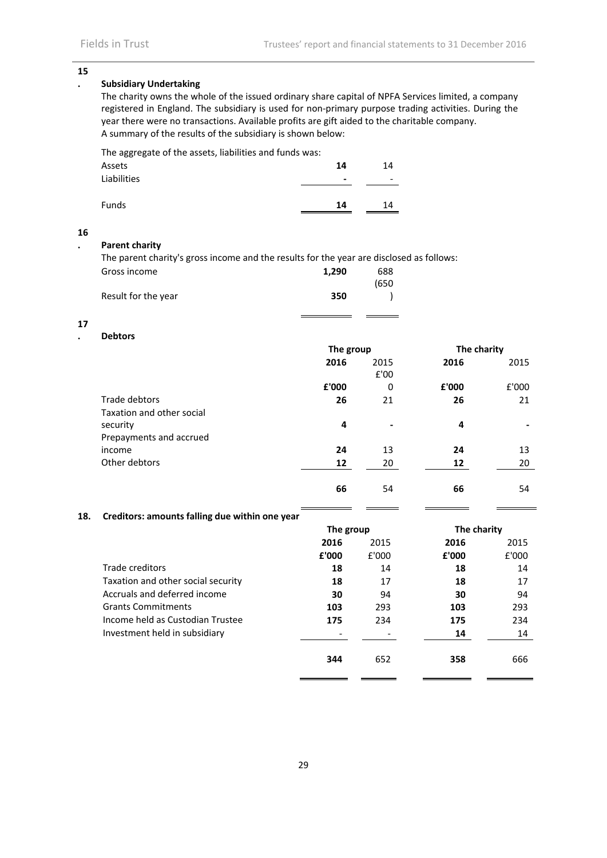## **15**

## **. Subsidiary Undertaking**

The charity owns the whole of the issued ordinary share capital of NPFA Services limited, a company registered in England. The subsidiary is used for non‐primary purpose trading activities. During the year there were no transactions. Available profits are gift aided to the charitable company. A summary of the results of the subsidiary is shown below:

| The aggregate of the assets, liabilities and funds was: |                |
|---------------------------------------------------------|----------------|
| $A = 1$                                                 | $\overline{ }$ |

| Assets      | 14 | 14 |
|-------------|----|----|
| Liabilities | ۰  | ۰  |
|             |    |    |
| Funds       | 14 | 14 |

### **16**

#### **. Parent charity**

The parent charity's gross income and the results for the year are disclosed as follows: Gross income **1,290** 688

|                     |     | (650) |
|---------------------|-----|-------|
| Result for the year | 350 |       |
|                     |     |       |

#### **17**

### **. Debtors**

|                           | The group |                | The charity |       |
|---------------------------|-----------|----------------|-------------|-------|
|                           | 2016      | 2015           | 2016        | 2015  |
|                           |           | f'00           |             |       |
|                           | £'000     | 0              | £'000       | £'000 |
| Trade debtors             | 26        | 21             | 26          | 21    |
| Taxation and other social |           |                |             |       |
| security                  | 4         | $\blacksquare$ | 4           |       |
| Prepayments and accrued   |           |                |             |       |
| income                    | 24        | 13             | 24          | 13    |
| Other debtors             | 12        | 20             | 12          | 20    |
|                           |           |                |             |       |
|                           | 66        | 54             | 66          | 54    |
|                           |           |                |             |       |

## **18. Creditors: amounts falling due within one year**

|                                    | The group |       | The charity |       |
|------------------------------------|-----------|-------|-------------|-------|
|                                    | 2016      | 2015  | 2016        | 2015  |
|                                    | £'000     | £'000 | £'000       | £'000 |
| Trade creditors                    | 18        | 14    | 18          | 14    |
| Taxation and other social security | 18        | 17    | 18          | 17    |
| Accruals and deferred income       | 30        | 94    | 30          | 94    |
| <b>Grants Commitments</b>          | 103       | 293   | 103         | 293   |
| Income held as Custodian Trustee   | 175       | 234   | 175         | 234   |
| Investment held in subsidiary      |           |       | 14          | 14    |
|                                    | 344       | 652   | 358         | 666   |
|                                    |           |       |             |       |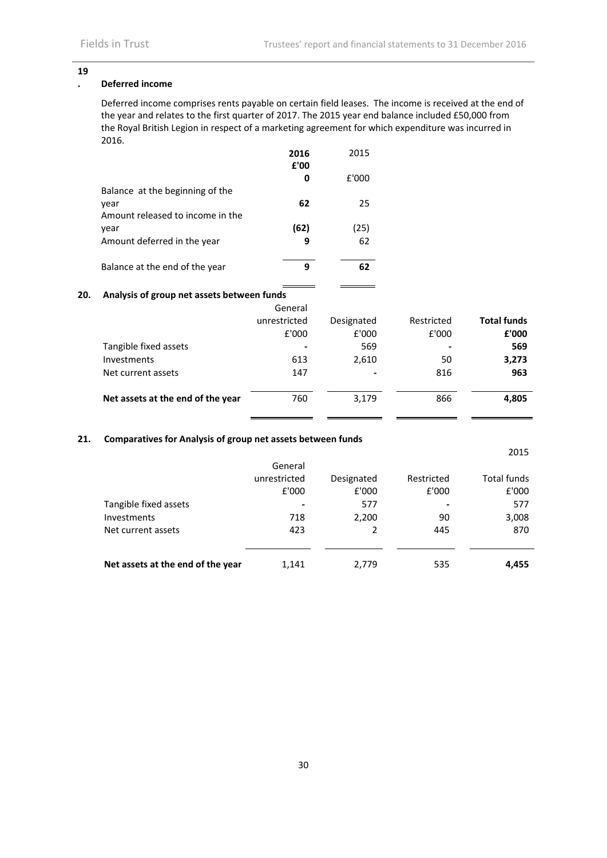# **19**

# **. Deferred income**

Deferred income comprises rents payable on certain field leases. The income is received at the end of the year and relates to the first quarter of 2017. The 2015 year end balance included £50,000 from the Royal British Legion in respect of a marketing agreement for which expenditure was incurred in 2016.

|                                          | 2016<br>£'00 | 2015  |
|------------------------------------------|--------------|-------|
| Balance at the beginning of the          | 0            | £'000 |
| year<br>Amount released to income in the | 62           | 25    |
| year                                     | (62)         | (25)  |
| Amount deferred in the year              | 9            | 62    |
| Balance at the end of the year           | q            |       |

### **20. Analysis of group net assets between funds**

|                                   | General      |            |            |                    |
|-----------------------------------|--------------|------------|------------|--------------------|
|                                   | unrestricted | Designated | Restricted | <b>Total funds</b> |
|                                   | £'000        | E'000      | £'000      | £'000              |
| Tangible fixed assets             | -            | 569        | ٠          | 569                |
| <b>Investments</b>                | 613          | 2,610      | 50         | 3,273              |
| Net current assets                | 147          |            | 816        | 963                |
|                                   |              |            |            |                    |
| Net assets at the end of the year | 760          | 3,179      | 866        | 4,805              |
|                                   |              |            |            |                    |

## **21. Comparatives for Analysis of group net assets between funds**

|                                   |              |            |            | 2015               |
|-----------------------------------|--------------|------------|------------|--------------------|
|                                   | General      |            |            |                    |
|                                   | unrestricted | Designated | Restricted | <b>Total funds</b> |
|                                   | £'000        | E'000      | £'000      | £'000              |
| Tangible fixed assets             |              | 577        |            | 577                |
| <b>Investments</b>                | 718          | 2,200      | 90         | 3,008              |
| Net current assets                | 423          |            | 445        | 870                |
|                                   |              |            |            |                    |
| Net assets at the end of the year | 1,141        | 2,779      | 535        | 4,455              |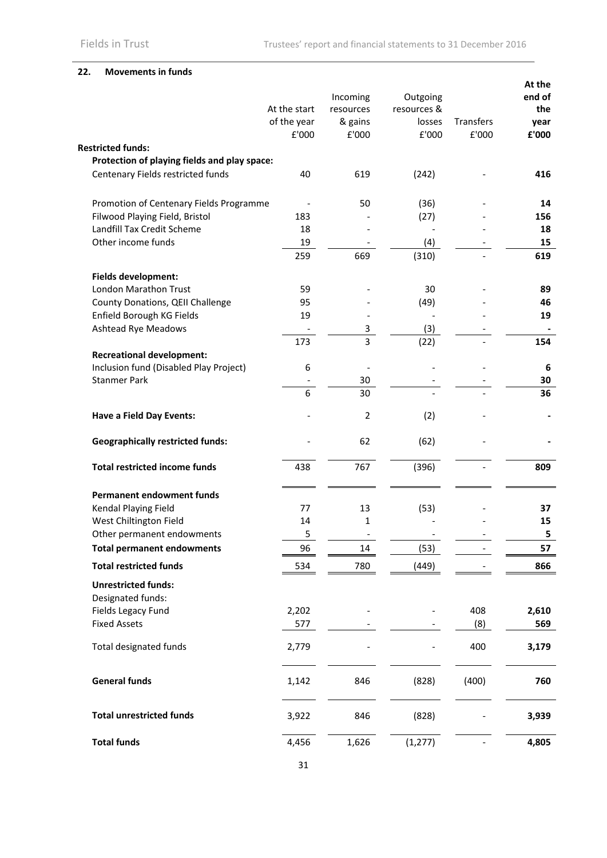## **22. Movements in funds**

| <b>Restricted funds:</b>                        | At the start<br>of the year<br>£'000 | Incoming<br>resources<br>& gains<br>£'000 | Outgoing<br>resources &<br>losses<br>£'000 | <b>Transfers</b><br>£'000 | At the<br>end of<br>the<br>year<br>£'000 |
|-------------------------------------------------|--------------------------------------|-------------------------------------------|--------------------------------------------|---------------------------|------------------------------------------|
| Protection of playing fields and play space:    |                                      |                                           |                                            |                           |                                          |
| Centenary Fields restricted funds               | 40                                   | 619                                       | (242)                                      |                           | 416                                      |
| Promotion of Centenary Fields Programme         |                                      | 50                                        | (36)                                       |                           | 14                                       |
| Filwood Playing Field, Bristol                  | 183                                  |                                           | (27)                                       |                           | 156                                      |
| Landfill Tax Credit Scheme                      | 18                                   |                                           |                                            |                           | 18                                       |
| Other income funds                              | 19                                   |                                           | (4)                                        |                           | 15                                       |
|                                                 | 259                                  | 669                                       | (310)                                      |                           | 619                                      |
| Fields development:                             |                                      |                                           |                                            |                           |                                          |
| <b>London Marathon Trust</b>                    | 59                                   |                                           | 30                                         |                           | 89                                       |
| County Donations, QEII Challenge                | 95                                   |                                           | (49)                                       |                           | 46                                       |
| Enfield Borough KG Fields                       | 19                                   |                                           | $\overline{a}$                             |                           | 19                                       |
| <b>Ashtead Rye Meadows</b>                      |                                      | 3                                         | (3)                                        |                           |                                          |
|                                                 | 173                                  | $\overline{3}$                            | (22)                                       |                           | 154                                      |
| <b>Recreational development:</b>                |                                      |                                           |                                            |                           |                                          |
| Inclusion fund (Disabled Play Project)          | 6                                    |                                           |                                            |                           | 6                                        |
| <b>Stanmer Park</b>                             | 6                                    | 30<br>30                                  |                                            |                           | 30<br>36                                 |
|                                                 |                                      |                                           |                                            |                           |                                          |
| <b>Have a Field Day Events:</b>                 |                                      | 2                                         | (2)                                        |                           |                                          |
| <b>Geographically restricted funds:</b>         |                                      | 62                                        | (62)                                       |                           |                                          |
| <b>Total restricted income funds</b>            | 438                                  | 767                                       | (396)                                      |                           | 809                                      |
| <b>Permanent endowment funds</b>                |                                      |                                           |                                            |                           |                                          |
| Kendal Playing Field                            | 77                                   | 13                                        | (53)                                       |                           | 37                                       |
| West Chiltington Field                          | 14                                   | 1                                         |                                            |                           | 15                                       |
| Other permanent endowments                      | 5                                    |                                           |                                            |                           | 5                                        |
| <b>Total permanent endowments</b>               | 96                                   | 14                                        | (53)                                       |                           | 57                                       |
| <b>Total restricted funds</b>                   | 534                                  | 780                                       | (449)                                      |                           | 866                                      |
| <b>Unrestricted funds:</b><br>Designated funds: |                                      |                                           |                                            |                           |                                          |
| Fields Legacy Fund                              | 2,202                                |                                           |                                            | 408                       | 2,610                                    |
| <b>Fixed Assets</b>                             | 577                                  |                                           |                                            | (8)                       | 569                                      |
| Total designated funds                          | 2,779                                |                                           |                                            | 400                       | 3,179                                    |
| <b>General funds</b>                            | 1,142                                | 846                                       | (828)                                      | (400)                     | 760                                      |
| <b>Total unrestricted funds</b>                 | 3,922                                | 846                                       | (828)                                      |                           | 3,939                                    |
| <b>Total funds</b>                              | 4,456                                | 1,626                                     | (1, 277)                                   |                           | 4,805                                    |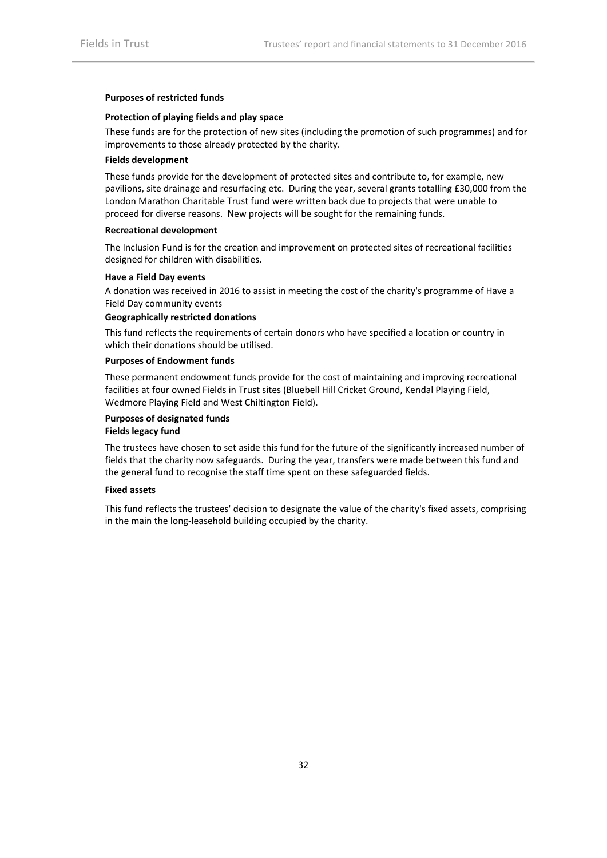#### **Purposes of restricted funds**

#### **Protection of playing fields and play space**

 These funds are for the protection of new sites (including the promotion of such programmes) and for improvements to those already protected by the charity.

#### **Fields development**

 These funds provide for the development of protected sites and contribute to, for example, new pavilions, site drainage and resurfacing etc. During the year, several grants totalling £30,000 from the London Marathon Charitable Trust fund were written back due to projects that were unable to proceed for diverse reasons. New projects will be sought for the remaining funds.

#### **Recreational development**

 The Inclusion Fund is for the creation and improvement on protected sites of recreational facilities designed for children with disabilities.

#### **Have a Field Day events**

A donation was received in 2016 to assist in meeting the cost of the charity's programme of Have a Field Day community events

#### **Geographically restricted donations**

This fund reflects the requirements of certain donors who have specified a location or country in which their donations should be utilised.

### **Purposes of Endowment funds**

These permanent endowment funds provide for the cost of maintaining and improving recreational facilities at four owned Fields in Trust sites (Bluebell Hill Cricket Ground, Kendal Playing Field, Wedmore Playing Field and West Chiltington Field).

#### **Purposes of designated funds**

#### **Fields legacy fund**

 The trustees have chosen to set aside this fund for the future of the significantly increased number of fields that the charity now safeguards. During the year, transfers were made between this fund and the general fund to recognise the staff time spent on these safeguarded fields.

#### **Fixed assets**

 This fund reflects the trustees' decision to designate the value of the charity's fixed assets, comprising in the main the long‐leasehold building occupied by the charity.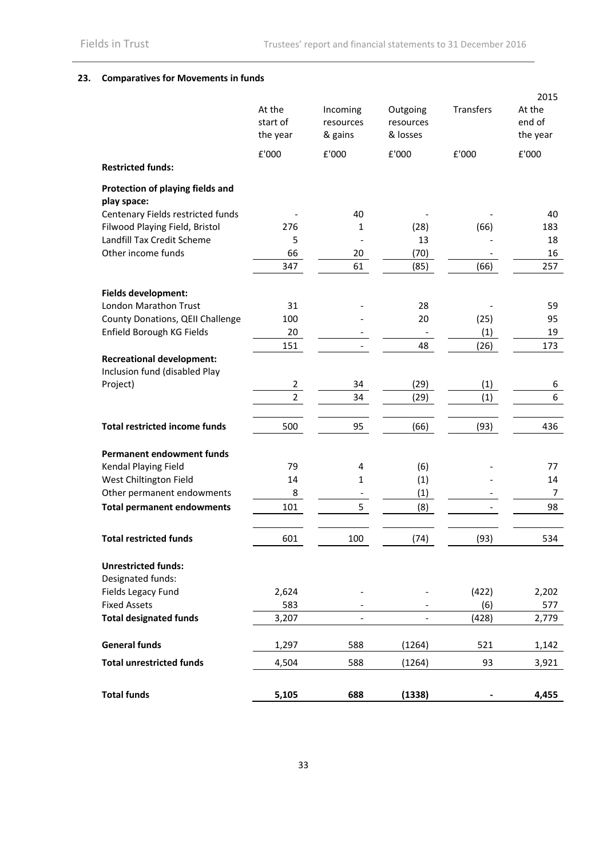## **23. Comparatives for Movements in funds**

|                                                                   | At the<br>start of<br>the year | Incoming<br>resources<br>& gains | Outgoing<br>resources<br>& losses | Transfers | 2015<br>At the<br>end of<br>the year |
|-------------------------------------------------------------------|--------------------------------|----------------------------------|-----------------------------------|-----------|--------------------------------------|
|                                                                   | £'000                          | £'000                            | £'000                             | £'000     | £'000                                |
| <b>Restricted funds:</b>                                          |                                |                                  |                                   |           |                                      |
| Protection of playing fields and<br>play space:                   |                                |                                  |                                   |           |                                      |
| Centenary Fields restricted funds                                 |                                | 40                               |                                   |           | 40                                   |
| Filwood Playing Field, Bristol                                    | 276                            | 1                                | (28)                              | (66)      | 183                                  |
| Landfill Tax Credit Scheme                                        | 5                              |                                  | 13                                |           | 18                                   |
| Other income funds                                                | 66                             | 20                               | (70)                              |           | 16                                   |
|                                                                   | 347                            | 61                               | (85)                              | (66)      | 257                                  |
| <b>Fields development:</b>                                        |                                |                                  |                                   |           |                                      |
| London Marathon Trust                                             | 31                             |                                  | 28                                |           | 59                                   |
| County Donations, QEII Challenge                                  | 100                            |                                  | 20                                | (25)      | 95                                   |
| Enfield Borough KG Fields                                         | 20                             |                                  |                                   | (1)       | 19                                   |
|                                                                   | 151                            |                                  | 48                                | (26)      | 173                                  |
| <b>Recreational development:</b><br>Inclusion fund (disabled Play |                                |                                  |                                   |           |                                      |
| Project)                                                          | 2                              | 34                               | (29)                              | (1)       | 6                                    |
|                                                                   | $\overline{2}$                 | 34                               | (29)                              | (1)       | 6                                    |
| <b>Total restricted income funds</b>                              | 500                            | 95                               | (66)                              | (93)      | 436                                  |
| <b>Permanent endowment funds</b>                                  |                                |                                  |                                   |           |                                      |
| Kendal Playing Field                                              | 79                             | 4                                | (6)                               |           | 77                                   |
| West Chiltington Field                                            | 14                             | 1                                | (1)                               |           | 14                                   |
| Other permanent endowments                                        | 8                              |                                  | (1)                               |           | 7                                    |
| <b>Total permanent endowments</b>                                 | 101                            | 5                                | (8)                               |           | 98                                   |
| <b>Total restricted funds</b>                                     | 601                            | 100                              | (74)                              | (93)      | 534                                  |
| <b>Unrestricted funds:</b>                                        |                                |                                  |                                   |           |                                      |
| Designated funds:                                                 |                                |                                  |                                   |           |                                      |
| Fields Legacy Fund                                                | 2,624                          |                                  |                                   | (422)     | 2,202                                |
| <b>Fixed Assets</b>                                               | 583                            |                                  |                                   | (6)       | 577                                  |
| <b>Total designated funds</b>                                     | 3,207                          |                                  |                                   | (428)     | 2,779                                |
| <b>General funds</b>                                              | 1,297                          | 588                              | (1264)                            | 521       | 1,142                                |
| <b>Total unrestricted funds</b>                                   | 4,504                          | 588                              | (1264)                            | 93        | 3,921                                |
| <b>Total funds</b>                                                | 5,105                          | 688                              | (1338)                            |           | 4,455                                |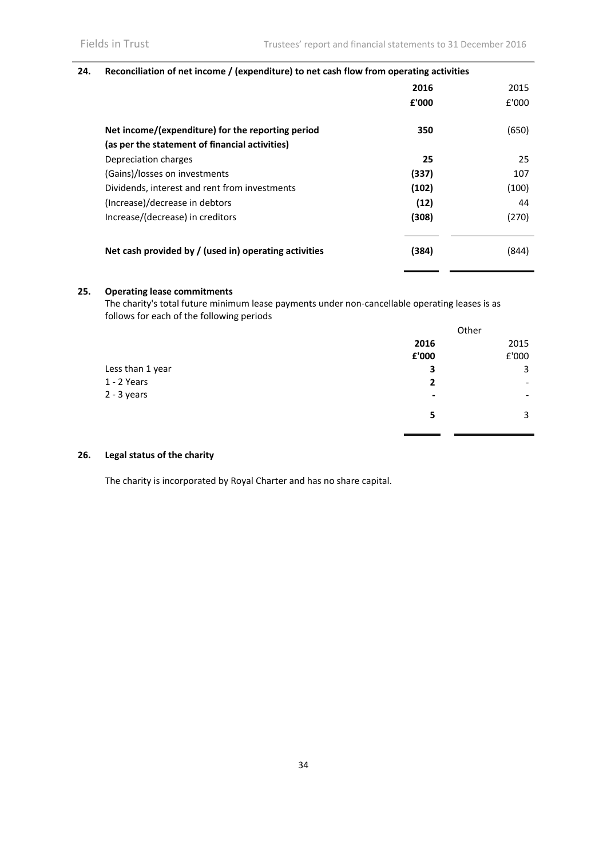| 24. | Reconciliation of het income / (expenditure) to het cash flow from operating activities |       |       |
|-----|-----------------------------------------------------------------------------------------|-------|-------|
|     |                                                                                         | 2016  | 2015  |
|     |                                                                                         | £'000 | £'000 |
|     | Net income/(expenditure) for the reporting period                                       | 350   | (650) |
|     | (as per the statement of financial activities)                                          |       |       |
|     | Depreciation charges                                                                    | 25    | 25    |
|     | (Gains)/losses on investments                                                           | (337) | 107   |
|     | Dividends, interest and rent from investments                                           | (102) | (100) |
|     | (Increase)/decrease in debtors                                                          | (12)  | 44    |
|     | Increase/(decrease) in creditors                                                        | (308) | (270) |
|     | Net cash provided by $/$ (used in) operating activities                                 | (384) | (844) |
|     |                                                                                         |       |       |

# **24. Reconciliation of net income / (expenditure) to net cash flow from operating activities**

## **25. Operating lease commitments**

The charity's total future minimum lease payments under non‐cancellable operating leases is as follows for each of the following periods

|                  | Other                    |                          |
|------------------|--------------------------|--------------------------|
|                  | 2016                     | 2015                     |
|                  | £'000                    | $\pmb{\mathsf{E}}$ '000  |
| Less than 1 year | 3                        | 3                        |
| 1 - 2 Years      | $\overline{2}$           | $\overline{\phantom{a}}$ |
| 2 - 3 years      | $\overline{\phantom{a}}$ | $\overline{\phantom{a}}$ |
|                  | 5                        | 3                        |
|                  |                          |                          |

## **26. Legal status of the charity**

The charity is incorporated by Royal Charter and has no share capital.